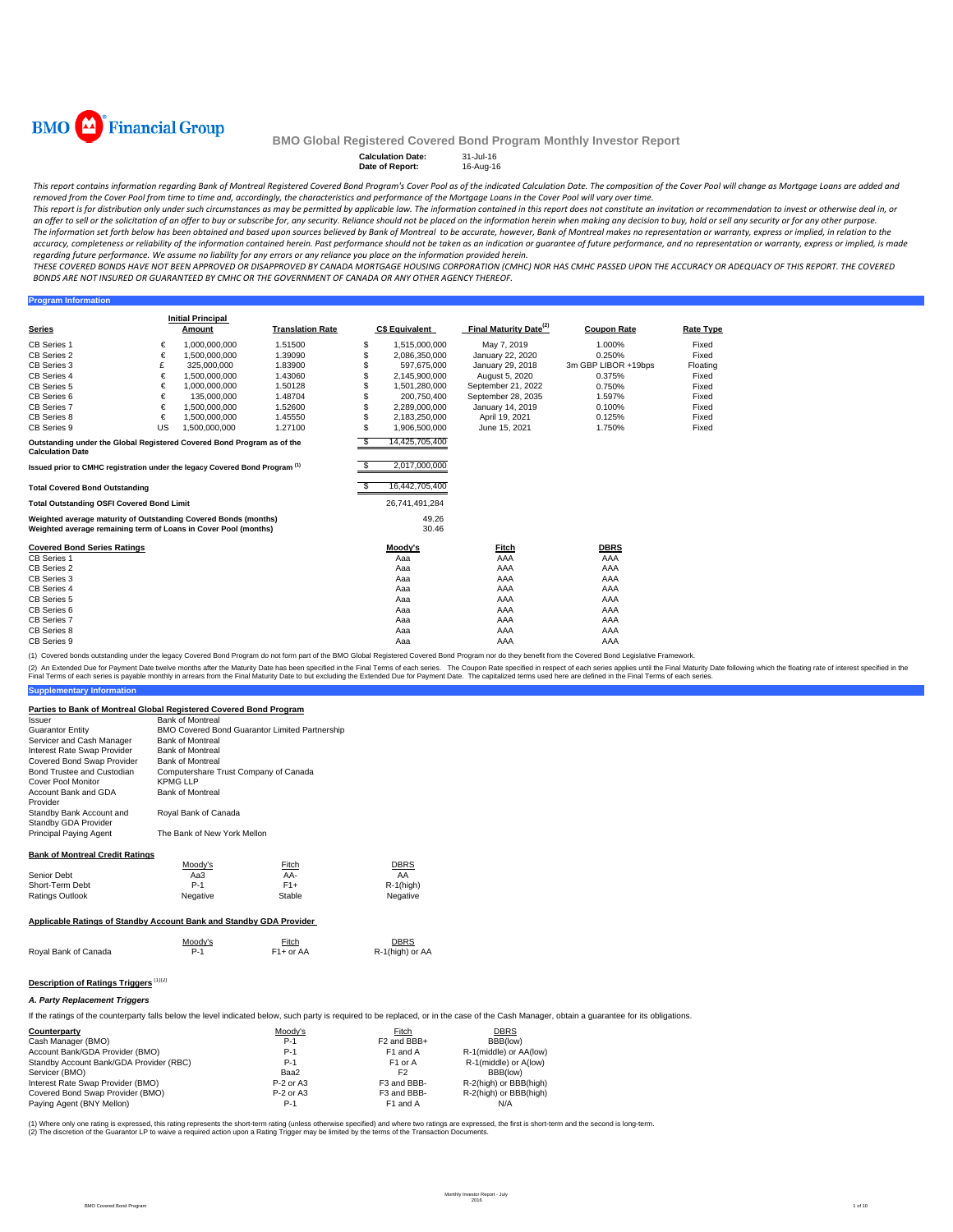

**Program Information**

## **BMO Global Registered Covered Bond Program Monthly Investor Report**

# **Calculation Date:** 31-Jul-16 **Date of Report:** 16-Aug-16

This report contains information regarding Bank of Montreal Registered Covered Bond Program's Cover Pool as of the indicated Calculation Date. The composition of the Cover Pool will change as Mortgage Loans are added and removed from the Cover Pool from time to time and, accordingly, the characteristics and performance of the Mortgage Loans in the Cover Pool will vary over time.

This report is for distribution only under such circumstances as may be permitted by applicable law. The information contained in this report does not constitute an invitation or recommendation to invest or otherwise deal an offer to sell or the solicitation of an offer to buy or subscribe for, any security. Reliance should not be placed on the information herein when making any decision to buy, hold or sell any security or for any other pu The information set forth below has been obtained and based upon sources believed by Bank of Montreal to be accurate, however, Bank of Montreal makes no representation or warranty, express or implied, in relation to the accuracy, completeness or reliability of the information contained herein. Past performance should not be taken as an indication or guarantee of future performance, and no representation or warranty, express or implied, is regarding future performance. We assume no liability for any errors or any reliance you place on the information provided herein.

THESE COVERED BONDS HAVE NOT BEEN APPROVED OR DISAPPROVED BY CANADA MORTGAGE HOUSING CORPORATION (CMHC) NOR HAS CMHC PASSED UPON THE ACCURACY OR ADEQUACY OF THIS REPORT. THE COVERED BONDS ARE NOT INSURED OR GUARANTEED BY CMHC OR THE GOVERNMENT OF CANADA OR ANY OTHER AGENCY THEREOF.

| <b>Series</b>                                                                                                                      |    | <b>Initial Principal</b><br>Amount | <b>Translation Rate</b> |     | <b>C\$ Equivalent</b> | Final Maturity Date <sup>(2)</sup> | <b>Coupon Rate</b>  | <b>Rate Type</b> |
|------------------------------------------------------------------------------------------------------------------------------------|----|------------------------------------|-------------------------|-----|-----------------------|------------------------------------|---------------------|------------------|
| <b>CB Series 1</b>                                                                                                                 | €  | 1.000.000.000                      | 1.51500                 | \$  | 1,515,000,000         | May 7, 2019                        | 1.000%              | Fixed            |
| CB Series 2                                                                                                                        | €  | 1,500,000,000                      | 1.39090                 |     | 2,086,350,000         | January 22, 2020                   | 0.250%              | Fixed            |
| CB Series 3                                                                                                                        | £  | 325,000,000                        | 1.83900                 |     | 597.675.000           | January 29, 2018                   | 3m GBP LIBOR +19bps | Floating         |
| CB Series 4                                                                                                                        | €  | 1,500,000,000                      | 1.43060                 | \$. | 2,145,900,000         | August 5, 2020                     | 0.375%              | Fixed            |
| <b>CB Series 5</b>                                                                                                                 | €  | 1.000.000.000                      | 1.50128                 |     | 1.501.280.000         | September 21, 2022                 | 0.750%              | Fixed            |
| CB Series 6                                                                                                                        | €  | 135.000.000                        | 1.48704                 |     | 200.750.400           | September 28, 2035                 | 1.597%              | Fixed            |
| <b>CB Series 7</b>                                                                                                                 | €  | 1.500.000.000                      | 1.52600                 | \$. | 2,289,000,000         | January 14, 2019                   | 0.100%              | Fixed            |
| CB Series 8                                                                                                                        | €  | 1,500,000,000                      | 1.45550                 |     | 2,183,250,000         | April 19, 2021                     | 0.125%              | Fixed            |
| CB Series 9                                                                                                                        | US | 1,500,000,000                      | 1.27100                 | \$  | 1,906,500,000         | June 15, 2021                      | 1.750%              | Fixed            |
| Outstanding under the Global Registered Covered Bond Program as of the<br><b>Calculation Date</b>                                  |    |                                    |                         | -S. | 14,425,705,400        |                                    |                     |                  |
| Issued prior to CMHC registration under the legacy Covered Bond Program <sup>(1)</sup>                                             |    |                                    |                         |     | 2,017,000,000         |                                    |                     |                  |
| <b>Total Covered Bond Outstanding</b>                                                                                              |    |                                    |                         |     | 16,442,705,400        |                                    |                     |                  |
| <b>Total Outstanding OSFI Covered Bond Limit</b>                                                                                   |    |                                    |                         |     | 26,741,491,284        |                                    |                     |                  |
| Weighted average maturity of Outstanding Covered Bonds (months)<br>Weighted average remaining term of Loans in Cover Pool (months) |    |                                    |                         |     | 49.26<br>30.46        |                                    |                     |                  |
| <b>Covered Bond Series Ratings</b>                                                                                                 |    |                                    |                         |     | Moody's               | Fitch                              | <b>DBRS</b>         |                  |
| <b>CB Series 1</b>                                                                                                                 |    |                                    |                         |     | Aaa                   | AAA                                | AAA                 |                  |
| CB Series 2                                                                                                                        |    |                                    |                         |     | Aaa                   | AAA                                | AAA                 |                  |
| CB Series 3                                                                                                                        |    |                                    |                         |     | Aaa                   | AAA                                | AAA                 |                  |
| CB Series 4                                                                                                                        |    |                                    |                         |     | Aaa                   | AAA                                | AAA                 |                  |
| CB Series 5                                                                                                                        |    |                                    |                         |     | Aaa                   | AAA                                | AAA                 |                  |
| CB Series 6                                                                                                                        |    |                                    |                         |     | Aaa                   | AAA                                | AAA                 |                  |
| <b>CB Series 7</b>                                                                                                                 |    |                                    |                         |     | Aaa                   | AAA                                | AAA                 |                  |
| CB Series 8                                                                                                                        |    |                                    |                         |     | Aaa                   | AAA                                | AAA                 |                  |
| CB Series 9                                                                                                                        |    |                                    |                         |     | Aaa                   | AAA                                | AAA                 |                  |

(1) Covered bonds outstanding under the legacy Covered Bond Program do not form part of the BMO Global Registered Covered Bond Program nor do they benefit from the Covered Bond Legislative Framework.

(2) An Extended Due for Payment Date twelve months after the Maturity Date has been specified in the Final Terms of each series. The Coupon Rate specified in the found the final Maturity Date to but excluding the Extended

#### **Parties to Bank of Montreal Global Registered Covered Bond Program**

| <b>Bank of Montreal</b>                        |
|------------------------------------------------|
| BMO Covered Bond Guarantor Limited Partnership |
| <b>Bank of Montreal</b>                        |
| <b>Bank of Montreal</b>                        |
| <b>Bank of Montreal</b>                        |
| Computershare Trust Company of Canada          |
| <b>KPMG LLP</b>                                |
| <b>Bank of Montreal</b>                        |
| Royal Bank of Canada                           |
| The Bank of New York Mellon                    |
|                                                |

#### **Bank of Montreal Credit Ratings**

**Supplementary Information**

|                                                                     | Moody's  | Fitch  | <b>DBRS</b>  |  |  |  |  |  |
|---------------------------------------------------------------------|----------|--------|--------------|--|--|--|--|--|
| Senior Debt                                                         | АаЗ      | AA-    | AA           |  |  |  |  |  |
| Short-Term Debt                                                     | $P-1$    | $F1+$  | $R-1$ (high) |  |  |  |  |  |
| <b>Ratings Outlook</b>                                              | Negative | Stable | Negative     |  |  |  |  |  |
| Applicable Ratings of Standby Account Bank and Standby GDA Provider |          |        |              |  |  |  |  |  |

|                      | Moody's | <b>Fitch</b>           | <b>DBRS</b>     |
|----------------------|---------|------------------------|-----------------|
| Royal Bank of Canada | $P-1$   | F <sub>1</sub> + or AA | R-1(high) or AA |

# **Description of Ratings Triggers** (1)(2)

#### *A. Party Replacement Triggers*

If the ratings of the counterparty falls below the level indicated below, such party is required to be replaced, or in the case of the Cash Manager, obtain a guarantee for its obligations.

| Counterparty                            | Moody's     | Fitch                   | <b>DBRS</b>            |
|-----------------------------------------|-------------|-------------------------|------------------------|
| Cash Manager (BMO)                      | $P-1$       | F <sub>2</sub> and BBB+ | BBB(low)               |
| Account Bank/GDA Provider (BMO)         | $P-1$       | F <sub>1</sub> and A    | R-1(middle) or AA(low) |
| Standby Account Bank/GDA Provider (RBC) | $P-1$       | F <sub>1</sub> or A     | R-1(middle) or A(low)  |
| Servicer (BMO)                          | Baa2        | F <sub>2</sub>          | BBB(low)               |
| Interest Rate Swap Provider (BMO)       | $P-2$ or A3 | F3 and BBB-             | R-2(high) or BBB(high) |
| Covered Bond Swap Provider (BMO)        | $P-2$ or A3 | F3 and BBB-             | R-2(high) or BBB(high) |
| Paying Agent (BNY Mellon)               | $P-1$       | F1 and A                | N/A                    |

(1) Where only one rating is expressed, this rating represents the short-term rating (unless othevaise pecified) and where two ratings are expressed, the first is short-term and the second is long-term.<br>(2) The discretion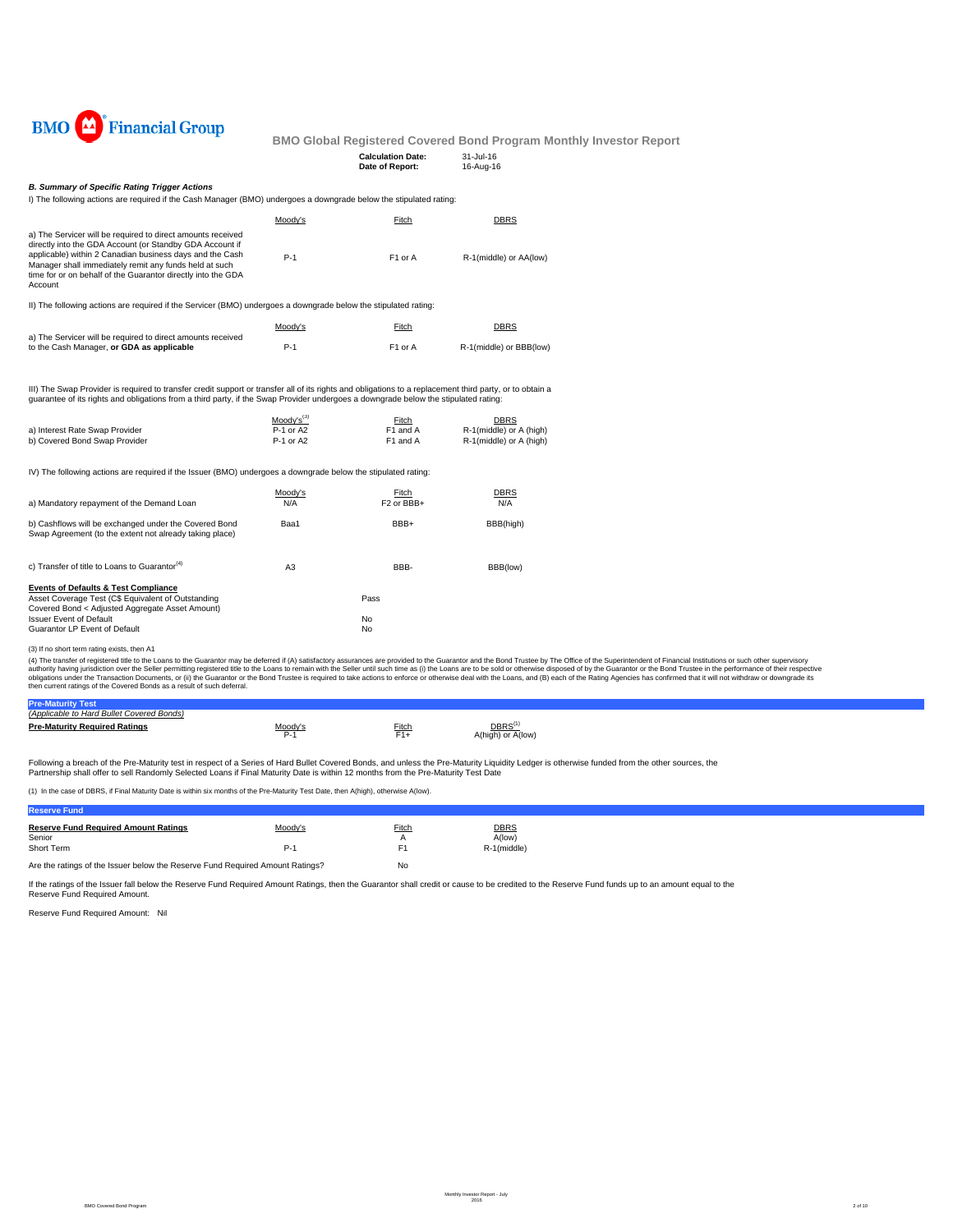

| <b>Calculation Date:</b> | 31-Jul-16 |
|--------------------------|-----------|
| Date of Report:          | 16-Aug-16 |
|                          |           |

## *B. Summary of Specific Rating Trigger Actions*

I) The following actions are required if the Cash Manager (BMO) undergoes a downgrade below the stipulated rating:

|                                                                                                                                                                                                                                                                                                                                                                                                | Moody's                                  | Fitch                                      | <b>DBRS</b>                                                       |
|------------------------------------------------------------------------------------------------------------------------------------------------------------------------------------------------------------------------------------------------------------------------------------------------------------------------------------------------------------------------------------------------|------------------------------------------|--------------------------------------------|-------------------------------------------------------------------|
| a) The Servicer will be required to direct amounts received<br>directly into the GDA Account (or Standby GDA Account if<br>applicable) within 2 Canadian business days and the Cash<br>Manager shall immediately remit any funds held at such<br>time for or on behalf of the Guarantor directly into the GDA<br>Account                                                                       | $P-1$                                    | F1 or A                                    | R-1(middle) or AA(low)                                            |
| II) The following actions are required if the Servicer (BMO) undergoes a downgrade below the stipulated rating:                                                                                                                                                                                                                                                                                |                                          |                                            |                                                                   |
|                                                                                                                                                                                                                                                                                                                                                                                                | Moody's                                  | Fitch                                      | <b>DBRS</b>                                                       |
| a) The Servicer will be required to direct amounts received<br>to the Cash Manager, or GDA as applicable                                                                                                                                                                                                                                                                                       | $P-1$                                    | F1 or A                                    | R-1(middle) or BBB(low)                                           |
| III) The Swap Provider is required to transfer credit support or transfer all of its rights and obligations to a replacement third party, or to obtain a<br>quarantee of its rights and obligations from a third party, if the Swap Provider undergoes a downgrade below the stipulated rating:                                                                                                |                                          |                                            |                                                                   |
| a) Interest Rate Swap Provider<br>b) Covered Bond Swap Provider                                                                                                                                                                                                                                                                                                                                | $Mody's^{(3)}$<br>P-1 or A2<br>P-1 or A2 | Fitch<br>F1 and A<br>F1 and A              | <b>DBRS</b><br>R-1(middle) or A (high)<br>R-1(middle) or A (high) |
| IV) The following actions are required if the Issuer (BMO) undergoes a downgrade below the stipulated rating:                                                                                                                                                                                                                                                                                  |                                          |                                            |                                                                   |
| a) Mandatory repayment of the Demand Loan                                                                                                                                                                                                                                                                                                                                                      | Moody's<br>N/A                           | Fitch<br>F <sub>2</sub> or BB <sub>H</sub> | <b>DBRS</b><br>N/A                                                |
| b) Cashflows will be exchanged under the Covered Bond<br>Swap Agreement (to the extent not already taking place)                                                                                                                                                                                                                                                                               | Baa1                                     | BBB+                                       | BBB(high)                                                         |
| c) Transfer of title to Loans to Guarantor <sup>(4)</sup>                                                                                                                                                                                                                                                                                                                                      | A <sub>3</sub>                           | BBB-                                       | BBB(low)                                                          |
| <b>Events of Defaults &amp; Test Compliance</b>                                                                                                                                                                                                                                                                                                                                                |                                          |                                            |                                                                   |
| Asset Coverage Test (C\$ Equivalent of Outstanding<br>Covered Bond < Adjusted Aggregate Asset Amount)                                                                                                                                                                                                                                                                                          |                                          | Pass                                       |                                                                   |
| <b>Issuer Event of Default</b>                                                                                                                                                                                                                                                                                                                                                                 |                                          | No                                         |                                                                   |
| Guarantor LP Event of Default                                                                                                                                                                                                                                                                                                                                                                  |                                          | No                                         |                                                                   |
| (3) If no short term rating exists, then A1                                                                                                                                                                                                                                                                                                                                                    |                                          |                                            |                                                                   |
| (4) The transfer of registered title to the Loans to the Guarantor may be deferred if (A) satisfactory assurances are provided to the Guarantor and the Bond Trustee by The Office of the<br>quitbority having juriediction over the Seller nermitting registered title to the Loans to remain with the Seller until such time as (i) the Loans are to be sold or otherwise disposed of by the |                                          |                                            |                                                                   |

(3) If no short term rating exists, then A1<br>(4) The transfer of registered title to the Lalans to the Guarantor may be deferred if (A) satisfactory assurances are provided to the Guarantor and the Bond Trustee by The Offic

| (Applicable to Hard Bullet Covered Bonds) |                 |       |                                         |  |
|-------------------------------------------|-----------------|-------|-----------------------------------------|--|
| <b>Pre-Maturity Required Ratings</b>      | $A \cap \cap A$ | Fitch | DBRS <sup>(*</sup><br>A(high) or A(low) |  |

Following a breach of the Pre-Maturity test in respect of a Series of Hard Bullet Covered Bonds, and unless the Pre-Maturity Liquidity Ledger is otherwise funded from the other sources, the<br>Partnership shall offer to sell

(1) In the case of DBRS, if Final Maturity Date is within six months of the Pre-Maturity Test Date, then A(high), otherwise A(low).

| <b>Reserve Fund</b>                                                           |                  |             |                                      |
|-------------------------------------------------------------------------------|------------------|-------------|--------------------------------------|
| <b>Reserve Fund Required Amount Ratings</b><br>Senior<br>Short Term           | Moody's<br>$P-1$ | Fitch<br>F1 | <b>DBRS</b><br>A(low)<br>R-1(middle) |
| Are the ratings of the Issuer below the Reserve Fund Reguired Amount Ratings? | No               |             |                                      |

If the ratings of the Issuer fall below the Reserve Fund Required Amount Ratings, then the Guarantor shall credit or cause to be credited to the Reserve Fund funds up to an amount equal to the

Reserve Fund Required Amount: Nil Reserve Fund Required Amount.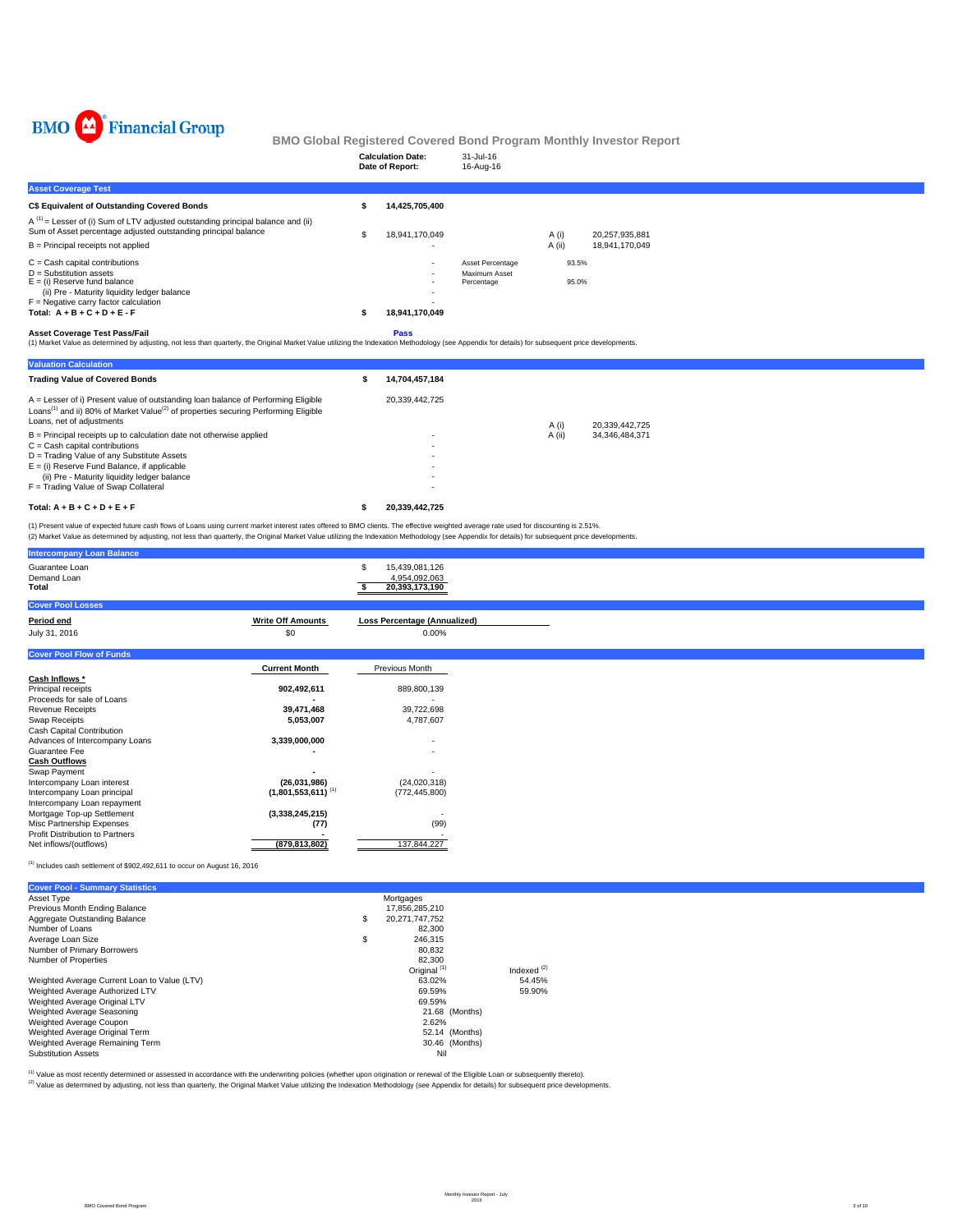

|                                                                                                                                                                                                                                                                                                                                                                                               |   | <b>Calculation Date:</b><br>Date of Report: | 31-Jul-16<br>16-Aug-16                          |                 |                |                                  |  |
|-----------------------------------------------------------------------------------------------------------------------------------------------------------------------------------------------------------------------------------------------------------------------------------------------------------------------------------------------------------------------------------------------|---|---------------------------------------------|-------------------------------------------------|-----------------|----------------|----------------------------------|--|
| <b>Asset Coverage Test</b>                                                                                                                                                                                                                                                                                                                                                                    |   |                                             |                                                 |                 |                |                                  |  |
| C\$ Equivalent of Outstanding Covered Bonds                                                                                                                                                                                                                                                                                                                                                   |   | 14,425,705,400                              |                                                 |                 |                |                                  |  |
| $A^{(1)}$ = Lesser of (i) Sum of LTV adjusted outstanding principal balance and (ii)<br>Sum of Asset percentage adjusted outstanding principal balance<br>$B =$ Principal receipts not applied                                                                                                                                                                                                | S | 18.941.170.049                              |                                                 | A (i)<br>A (ii) |                | 20.257.935.881<br>18,941,170,049 |  |
| $C =$ Cash capital contributions<br>$D =$ Substitution assets<br>$E =$ (i) Reserve fund balance<br>(ii) Pre - Maturity liquidity ledger balance<br>$F =$ Negative carry factor calculation<br>Total: $A + B + C + D + E - F$                                                                                                                                                                  |   | 18,941,170,049                              | Asset Percentage<br>Maximum Asset<br>Percentage |                 | 93.5%<br>95.0% |                                  |  |
| <b>Asset Coverage Test Pass/Fail</b><br>Pass<br>(1) Market Value as determined by adjusting, not less than quarterly, the Original Market Value utilizing the Indexation Methodology (see Appendix for details) for subsequent price developments.                                                                                                                                            |   |                                             |                                                 |                 |                |                                  |  |
| <b>Valuation Calculation</b>                                                                                                                                                                                                                                                                                                                                                                  |   |                                             |                                                 |                 |                |                                  |  |
| <b>Trading Value of Covered Bonds</b>                                                                                                                                                                                                                                                                                                                                                         |   | 14,704,457,184                              |                                                 |                 |                |                                  |  |
| A = Lesser of i) Present value of outstanding loan balance of Performing Eligible<br>Loans <sup>(1)</sup> and ii) 80% of Market Value <sup>(2)</sup> of properties securing Performing Eligible<br>Loans, net of adjustments<br>$B =$ Principal receipts up to calculation date not otherwise applied<br>$C = Cash$ capital contributions<br>D = Trading Value of any Substitute Assets       |   | 20,339,442,725                              |                                                 | A(i)<br>A (ii)  |                | 20,339,442,725<br>34,346,484,371 |  |
| $E =$ (i) Reserve Fund Balance, if applicable<br>(ii) Pre - Maturity liquidity ledger balance<br>F = Trading Value of Swap Collateral                                                                                                                                                                                                                                                         |   |                                             |                                                 |                 |                |                                  |  |
| Total: $A + B + C + D + E + F$                                                                                                                                                                                                                                                                                                                                                                |   | 20,339,442,725                              |                                                 |                 |                |                                  |  |
| (1) Present value of expected future cash flows of Loans using current market interest rates offered to BMO clients. The effective weighted average rate used for discounting is 2.51%.<br>(2) Market Value as determined by adjusting, not less than quarterly, the Original Market Value utilizing the Indexation Methodology (see Appendix for details) for subsequent price developments. |   |                                             |                                                 |                 |                |                                  |  |
| <b>Intercompany Loan Balance</b>                                                                                                                                                                                                                                                                                                                                                              |   |                                             |                                                 |                 |                |                                  |  |

| Guarantee Loan<br>Demand Loan<br>Total                                         |                                  | 15,439,081,126<br>4,954,092,063<br>20,393,173,190 |
|--------------------------------------------------------------------------------|----------------------------------|---------------------------------------------------|
| <b>Cover Pool Losses</b>                                                       |                                  |                                                   |
| Period end                                                                     | <b>Write Off Amounts</b>         | Loss Percentage (Annualized)                      |
| July 31, 2016                                                                  | \$0                              | 0.00%                                             |
| <b>Cover Pool Flow of Funds</b>                                                |                                  |                                                   |
|                                                                                | <b>Current Month</b>             | Previous Month                                    |
| Cash Inflows *                                                                 |                                  |                                                   |
| Principal receipts                                                             | 902,492,611                      | 889,800,139                                       |
| Proceeds for sale of Loans                                                     |                                  |                                                   |
| Revenue Receipts                                                               | 39,471,468                       | 39,722,698                                        |
| Swap Receipts                                                                  | 5,053,007                        | 4,787,607                                         |
| Cash Capital Contribution                                                      |                                  |                                                   |
| Advances of Intercompany Loans<br>Guarantee Fee                                | 3,339,000,000                    |                                                   |
| <b>Cash Outflows</b>                                                           |                                  |                                                   |
| Swap Payment                                                                   |                                  |                                                   |
| Intercompany Loan interest                                                     | (26,031,986)                     | (24,020,318)                                      |
| Intercompany Loan principal                                                    | $(1,801,553,611)$ <sup>(1)</sup> | (772, 445, 800)                                   |
| Intercompany Loan repayment                                                    |                                  |                                                   |
| Mortgage Top-up Settlement                                                     | (3,338,245,215)                  |                                                   |
| Misc Partnership Expenses                                                      | (77)                             | (99)                                              |
| <b>Profit Distribution to Partners</b>                                         |                                  |                                                   |
| Net inflows/(outflows)                                                         | (879, 813, 802)                  | 137,844,227                                       |
| $^{(1)}$ Includes cash settlement of \$902,492,611 to occur on August 16, 2016 |                                  |                                                   |

| <b>Cover Pool - Summary Statistics</b>       |                      |                                          |  |  |  |
|----------------------------------------------|----------------------|------------------------------------------|--|--|--|
| Asset Type                                   | Mortgages            |                                          |  |  |  |
| Previous Month Ending Balance                | 17.856.285.210       |                                          |  |  |  |
| Aggregate Outstanding Balance                | \$<br>20.271.747.752 |                                          |  |  |  |
| Number of Loans                              |                      | 82.300                                   |  |  |  |
| Average Loan Size                            | \$                   | 246.315                                  |  |  |  |
| Number of Primary Borrowers                  |                      | 80.832                                   |  |  |  |
| Number of Properties                         |                      | 82.300                                   |  |  |  |
|                                              |                      | Original <sup>(1)</sup><br>Indexed $(2)$ |  |  |  |
| Weighted Average Current Loan to Value (LTV) |                      | 63.02%<br>54.45%                         |  |  |  |
| Weighted Average Authorized LTV              |                      | 69.59%<br>59.90%                         |  |  |  |
| Weighted Average Original LTV                |                      | 69.59%                                   |  |  |  |
| Weighted Average Seasoning                   |                      | 21.68 (Months)                           |  |  |  |
| Weighted Average Coupon                      |                      | 2.62%                                    |  |  |  |
| Weighted Average Original Term               |                      | 52.14 (Months)                           |  |  |  |
| Weighted Average Remaining Term              |                      | 30.46 (Months)                           |  |  |  |
| <b>Substitution Assets</b>                   |                      | Nil                                      |  |  |  |

<sup>(t)</sup> Value as most recently determined or assessed in accordance with the underwriting policies (whether upon origination or renewal of the Eligible Loan or subsequently thereto).<br><sup>(2)</sup> Value as determined by adjusting, n

BMO Covered Bond Program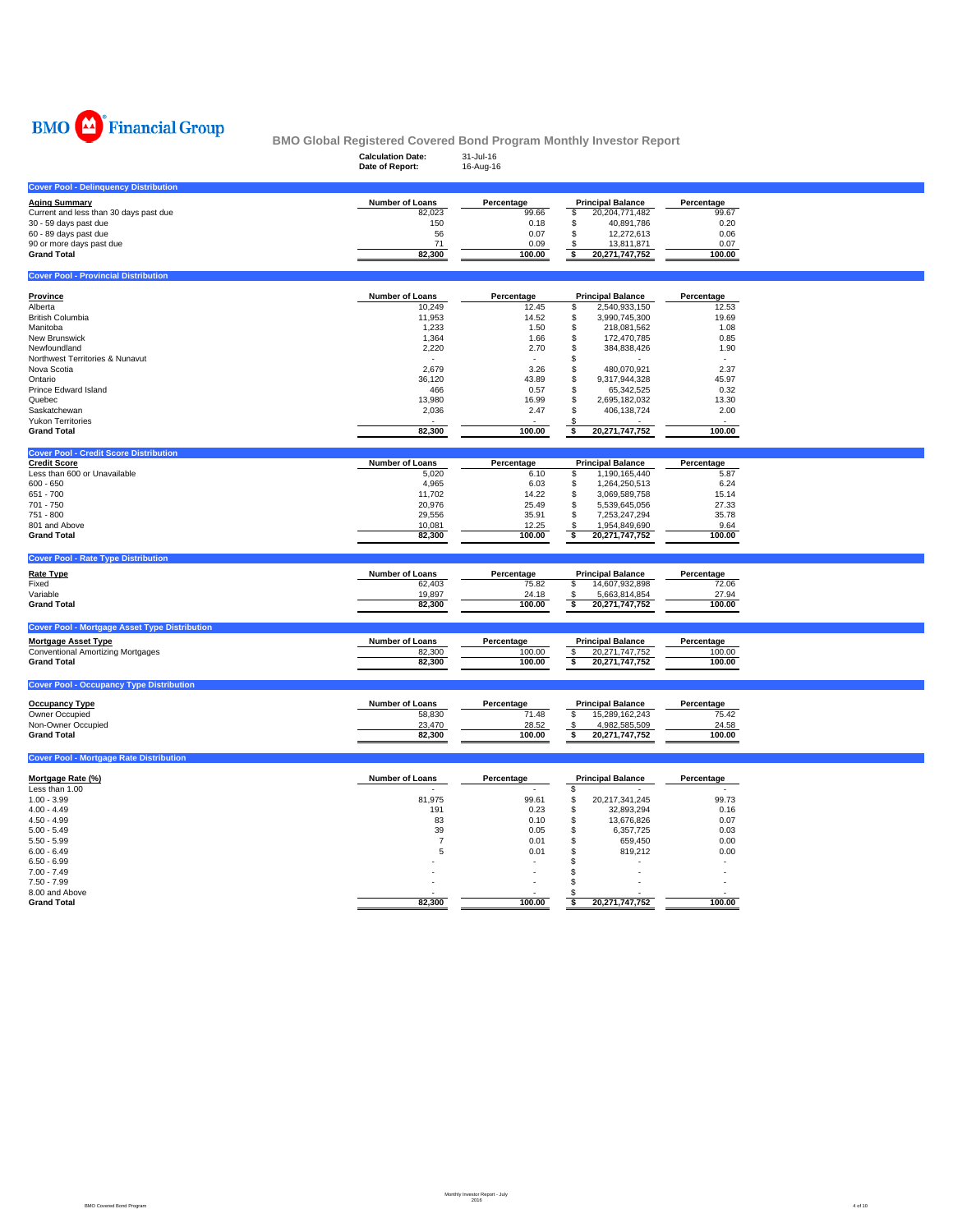

|                                                      | <b>Calculation Date:</b><br>Date of Report: | 31-Jul-16<br>16-Aug-16 |                                                 |                     |  |
|------------------------------------------------------|---------------------------------------------|------------------------|-------------------------------------------------|---------------------|--|
| <b>Cover Pool - Delinquency Distribution</b>         |                                             |                        |                                                 |                     |  |
| <b>Aging Summary</b>                                 | Number of Loans                             | Percentage             | <b>Principal Balance</b>                        | Percentage          |  |
| Current and less than 30 days past due               | 82,023                                      | 99.66                  | \$<br>20,204,771,482                            | 99.67               |  |
| 30 - 59 days past due                                | 150                                         | 0.18                   | \$<br>40,891,786                                | 0.20                |  |
| 60 - 89 days past due                                | 56                                          | 0.07                   | \$<br>12,272,613                                | 0.06                |  |
| 90 or more days past due                             | 71                                          | 0.09                   | \$<br>13,811,871                                | 0.07                |  |
| <b>Grand Total</b>                                   | 82,300                                      | 100.00                 | 20,271,747,752<br>\$                            | 100.00              |  |
| <b>Cover Pool - Provincial Distribution</b>          |                                             |                        |                                                 |                     |  |
|                                                      |                                             |                        |                                                 |                     |  |
| <b>Province</b><br>Alberta                           | Number of Loans<br>10,249                   | Percentage<br>12.45    | <b>Principal Balance</b><br>2,540,933,150<br>\$ | Percentage<br>12.53 |  |
| <b>British Columbia</b>                              | 11,953                                      | 14.52                  | \$<br>3,990,745,300                             | 19.69               |  |
| Manitoba                                             | 1,233                                       | 1.50                   | \$<br>218,081,562                               | 1.08                |  |
|                                                      |                                             |                        |                                                 |                     |  |
| New Brunswick                                        | 1,364                                       | 1.66                   | \$<br>172,470,785                               | 0.85                |  |
| Newfoundland                                         | 2,220                                       | 2.70                   | \$<br>384,838,426                               | 1.90                |  |
| Northwest Territories & Nunavut                      |                                             |                        | \$                                              |                     |  |
| Nova Scotia                                          | 2,679                                       | 3.26                   | \$<br>480,070,921                               | 2.37                |  |
| Ontario                                              | 36,120                                      | 43.89                  | \$<br>9,317,944,328                             | 45.97               |  |
| Prince Edward Island                                 | 466                                         | 0.57                   | \$<br>65,342,525                                | 0.32                |  |
| Quebec                                               | 13,980                                      | 16.99                  | \$<br>2,695,182,032                             | 13.30               |  |
| Saskatchewan                                         | 2,036                                       | 2.47                   | \$<br>406,138,724                               | 2.00                |  |
| <b>Yukon Territories</b>                             |                                             |                        |                                                 |                     |  |
| <b>Grand Total</b>                                   | 82,300                                      | 100.00                 | \$<br>20,271,747,752                            | 100.00              |  |
| <b>Cover Pool - Credit Score Distribution</b>        |                                             |                        |                                                 |                     |  |
| <b>Credit Score</b>                                  | Number of Loans                             | Percentage             | <b>Principal Balance</b>                        | Percentage          |  |
| Less than 600 or Unavailable                         | 5,020                                       | 6.10                   | 1,190,165,440<br>\$                             | 5.87                |  |
| $600 - 650$                                          | 4,965                                       | 6.03                   | \$<br>1,264,250,513                             | 6.24                |  |
| 651 - 700                                            | 11,702                                      | 14.22                  | \$<br>3,069,589,758                             | 15.14               |  |
| 701 - 750                                            | 20,976                                      | 25.49                  | \$<br>5,539,645,056                             | 27.33               |  |
| 751 - 800                                            | 29,556                                      | 35.91                  | \$<br>7,253,247,294                             | 35.78               |  |
| 801 and Above                                        | 10,081                                      | 12.25                  | 1,954,849,690<br>S                              | 9.64                |  |
| <b>Grand Total</b>                                   | 82,300                                      | 100.00                 | $\overline{\bullet}$<br>20,271,747,752          | 100.00              |  |
| <b>Cover Pool - Rate Type Distribution</b>           |                                             |                        |                                                 |                     |  |
| <b>Rate Type</b>                                     | Number of Loans                             | Percentage             | <b>Principal Balance</b>                        | Percentage          |  |
| Fixed                                                | 62,403                                      | 75.82                  | 14,607,932,898<br>\$                            | 72.06               |  |
| Variable                                             | 19,897                                      | 24.18                  | 5,663,814,854<br>\$                             | 27.94               |  |
| <b>Grand Total</b>                                   | 82,300                                      | 100.00                 | 20,271,747,752<br>\$                            | 100.00              |  |
|                                                      |                                             |                        |                                                 |                     |  |
| <b>Cover Pool - Mortgage Asset Type Distribution</b> |                                             |                        |                                                 |                     |  |
| <b>Mortgage Asset Type</b>                           | Number of Loans                             | Percentage             | <b>Principal Balance</b>                        | Percentage          |  |
| <b>Conventional Amortizing Mortgages</b>             | 82,300                                      | 100.00                 | 20,271,747,752<br>$\sqrt{2}$                    | 100.00              |  |
| <b>Grand Total</b>                                   | 82,300                                      | 100.00                 | s<br>20,271,747,752                             | 100.00              |  |
|                                                      |                                             |                        |                                                 |                     |  |
| <b>Cover Pool - Occupancy Type Distribution</b>      |                                             |                        |                                                 |                     |  |
| <b>Occupancy Type</b>                                | Number of Loans                             | Percentage             | <b>Principal Balance</b>                        | Percentage          |  |
| Owner Occupied                                       | 58,830                                      | 71.48                  | \$<br>15,289,162,243                            | 75.42               |  |
| Non-Owner Occupied                                   | 23,470                                      | 28.52                  | \$<br>4,982,585,509                             | 24.58               |  |
| <b>Grand Total</b>                                   | 82,300                                      | 100.00                 | \$<br>20,271,747,752                            | 100.00              |  |
| <b>Cover Pool - Mortgage Rate Distribution</b>       |                                             |                        |                                                 |                     |  |
|                                                      |                                             |                        |                                                 |                     |  |
| Mortgage Rate (%)                                    | Number of Loans                             | Percentage             | <b>Principal Balance</b>                        | Percentage          |  |
| Less than 1.00                                       |                                             |                        | \$                                              |                     |  |
| $1.00 - 3.99$                                        | 81,975                                      | 99.61                  | \$<br>20,217,341,245                            | 99.73               |  |
| $4.00 - 4.49$                                        | 191                                         | 0.23                   | \$<br>32,893,294                                | 0.16                |  |
| $4.50 - 4.99$                                        | 83                                          | 0.10                   | \$<br>13,676,826                                | 0.07                |  |
| $5.00 - 5.49$                                        | 39                                          | 0.05                   | \$<br>6,357,725                                 | 0.03                |  |
| $5.50 - 5.99$                                        | $\overline{7}$                              | 0.01                   | \$<br>659,450                                   | 0.00                |  |
| $6.00 - 6.49$                                        | 5                                           | 0.01                   | \$<br>819,212                                   | 0.00                |  |
| $6.50 - 6.99$                                        |                                             |                        | \$.                                             |                     |  |
| $7.00 - 7.49$                                        |                                             |                        | \$                                              |                     |  |
| $7.50 - 7.99$                                        |                                             |                        | \$                                              |                     |  |
|                                                      |                                             |                        |                                                 |                     |  |
| 8.00 and Above<br><b>Grand Total</b>                 | 82,300                                      | 100.00                 | Ŝ.<br>\$<br>20,271,747,752                      | 100.00              |  |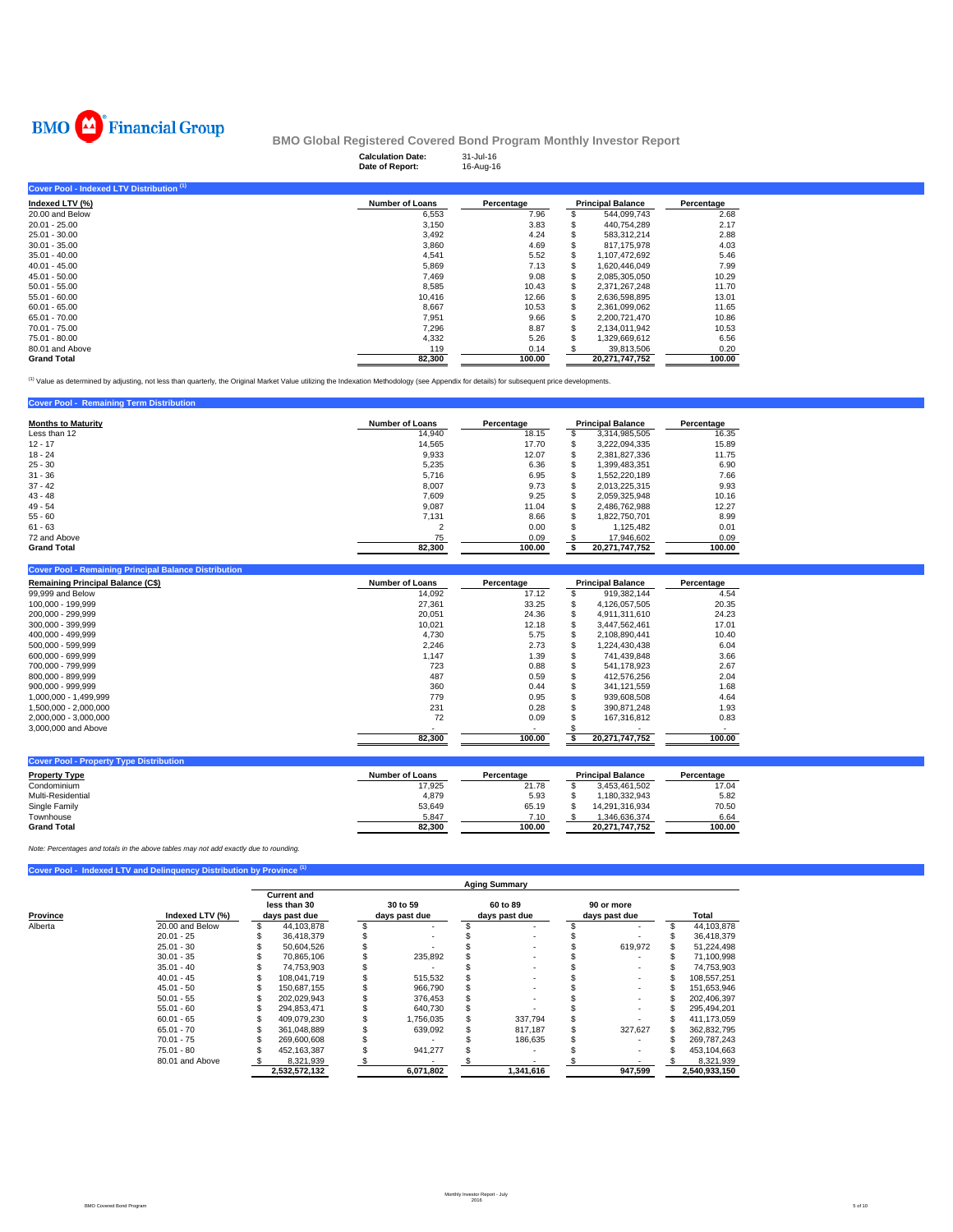

|                                           | <b>Calculation Date:</b><br>Date of Report: | 31-Jul-16<br>16-Aug-16 |   |                          |            |  |
|-------------------------------------------|---------------------------------------------|------------------------|---|--------------------------|------------|--|
| Cover Pool - Indexed LTV Distribution (1) |                                             |                        |   |                          |            |  |
| Indexed LTV (%)                           | <b>Number of Loans</b>                      | Percentage             |   | <b>Principal Balance</b> | Percentage |  |
| 20.00 and Below                           | 6,553                                       | 7.96                   |   | 544,099,743              | 2.68       |  |
| $20.01 - 25.00$                           | 3,150                                       | 3.83                   |   | 440,754,289              | 2.17       |  |
| 25.01 - 30.00                             | 3,492                                       | 4.24                   |   | 583,312,214              | 2.88       |  |
| $30.01 - 35.00$                           | 3,860                                       | 4.69                   |   | 817.175.978              | 4.03       |  |
| $35.01 - 40.00$                           | 4,541                                       | 5.52                   | S | 1,107,472,692            | 5.46       |  |
| $40.01 - 45.00$                           | 5,869                                       | 7.13                   | S | 1,620,446,049            | 7.99       |  |
| $45.01 - 50.00$                           | 7.469                                       | 9.08                   | S | 2,085,305,050            | 10.29      |  |
| $50.01 - 55.00$                           | 8,585                                       | 10.43                  |   | 2.371.267.248            | 11.70      |  |
| $55.01 - 60.00$                           | 10,416                                      | 12.66                  |   | 2,636,598,895            | 13.01      |  |
| $60.01 - 65.00$                           | 8,667                                       | 10.53                  |   | 2,361,099,062            | 11.65      |  |
| 65.01 - 70.00                             | 7,951                                       | 9.66                   |   | 2,200,721,470            | 10.86      |  |
| 70.01 - 75.00                             | 7,296                                       | 8.87                   |   | 2,134,011,942            | 10.53      |  |
| 75.01 - 80.00                             | 4,332                                       | 5.26                   |   | 1,329,669,612            | 6.56       |  |
| 80.01 and Above                           | 119                                         | 0.14                   |   | 39,813,506               | 0.20       |  |
| <b>Grand Total</b>                        | 82.300                                      | 100.00                 |   | 20.271.747.752           | 100.00     |  |

(1) Value as determined by adjusting, not less than quarterly, the Original Market Value utilizing the Indexation Methodology (see Appendix for details) for subsequent price developments.

## **Cover Pool - Remaining Term Distribution**

| <b>Months to Maturity</b> | <b>Number of Loans</b> | Percentage | <b>Principal Balance</b> | Percentage |  |
|---------------------------|------------------------|------------|--------------------------|------------|--|
| Less than 12              | 14.940                 | 18.15      | 3,314,985,505            | 16.35      |  |
| $12 - 17$                 | 14.565                 | 17.70      | 3,222,094,335            | 15.89      |  |
| $18 - 24$                 | 9,933                  | 12.07      | 2,381,827,336            | 11.75      |  |
| $25 - 30$                 | 5,235                  | 6.36       | 1,399,483,351            | 6.90       |  |
| $31 - 36$                 | 5,716                  | 6.95       | 1,552,220,189            | 7.66       |  |
| $37 - 42$                 | 8,007                  | 9.73       | 2,013,225,315            | 9.93       |  |
| $43 - 48$                 | 7.609                  | 9.25       | 2,059,325,948            | 10.16      |  |
| $49 - 54$                 | 9,087                  | 11.04      | 2.486.762.988            | 12.27      |  |
| $55 - 60$                 | 7.131                  | 8.66       | 1.822.750.701            | 8.99       |  |
| $61 - 63$                 |                        | 0.00       | 1,125,482                | 0.01       |  |
| 72 and Above              | 75                     | 0.09       | 17,946,602               | 0.09       |  |
| <b>Grand Total</b>        | 82.300                 | 100.00     | 20.271.747.752           | 100.00     |  |

#### **Cover Pool - Remaining Principal Balance Distribution**

| <b>Remaining Principal Balance (C\$)</b> | Number of Loans | Percentage | <b>Principal Balance</b> | Percentage |  |
|------------------------------------------|-----------------|------------|--------------------------|------------|--|
| 99,999 and Below                         | 14,092          | 17.12      | 919.382.144              | 4.54       |  |
| 100.000 - 199.999                        | 27.361          | 33.25      | 4.126.057.505            | 20.35      |  |
| 200.000 - 299.999                        | 20,051          | 24.36      | 4.911.311.610            | 24.23      |  |
| 300.000 - 399.999                        | 10.021          | 12.18      | 3.447.562.461            | 17.01      |  |
| 400.000 - 499.999                        | 4.730           | 5.75       | 2.108.890.441            | 10.40      |  |
| 500.000 - 599.999                        | 2.246           | 2.73       | 1.224.430.438            | 6.04       |  |
| 600.000 - 699.999                        | 1,147           | 1.39       | 741.439.848              | 3.66       |  |
| 700.000 - 799.999                        | 723             | 0.88       | 541.178.923              | 2.67       |  |
| 800.000 - 899.999                        | 487             | 0.59       | 412.576.256              | 2.04       |  |
| 900.000 - 999.999                        | 360             | 0.44       | 341.121.559              | 1.68       |  |
| 1.000.000 - 1.499.999                    | 779             | 0.95       | 939.608.508              | 4.64       |  |
| 1.500.000 - 2.000.000                    | 231             | 0.28       | 390.871.248              | 1.93       |  |
| 2.000.000 - 3.000.000                    | 72              | 0.09       | 167.316.812              | 0.83       |  |
| 3,000,000 and Above                      |                 | ۰          |                          |            |  |
|                                          | 82.300          | 100.00     | 20.271.747.752           | 100.00     |  |

| <b>Cover Pool - Property Type Distribution</b> |                 |            |  |                          |            |  |  |  |  |  |
|------------------------------------------------|-----------------|------------|--|--------------------------|------------|--|--|--|--|--|
| <b>Property Type</b>                           | Number of Loans | Percentage |  | <b>Principal Balance</b> | Percentage |  |  |  |  |  |
| Condominium                                    | 17.925          | 21.78      |  | 3.453.461.502            | 17.04      |  |  |  |  |  |
| Multi-Residential                              | 4.879           | 5.93       |  | 1.180.332.943            | 5.82       |  |  |  |  |  |
| Single Family                                  | 53.649          | 65.19      |  | 14.291.316.934           | 70.50      |  |  |  |  |  |
| Townhouse                                      | 5.847           | 7.10       |  | 1.346.636.374            | 6.64       |  |  |  |  |  |
| <b>Grand Total</b>                             | 82,300          | 100.00     |  | 20.271.747.752           | 100.00     |  |  |  |  |  |

*Note: Percentages and totals in the above tables may not add exactly due to rounding.*

## **Cover Pool - Indexed LTV and Delinquency Distribution by Province**

|                     |                 |                                                     |               |                           |           | <b>Aging Summary</b>      |                             |         |  |               |  |  |  |  |  |  |
|---------------------|-----------------|-----------------------------------------------------|---------------|---------------------------|-----------|---------------------------|-----------------------------|---------|--|---------------|--|--|--|--|--|--|
| Province<br>Alberta | Indexed LTV (%) | <b>Current and</b><br>less than 30<br>days past due |               | 30 to 59<br>days past due |           | 60 to 89<br>days past due | 90 or more<br>days past due |         |  | Total         |  |  |  |  |  |  |
|                     | 20.00 and Below |                                                     | 44.103.878    |                           |           |                           |                             | ٠       |  | 44,103,878    |  |  |  |  |  |  |
|                     | $20.01 - 25$    |                                                     | 36.418.379    |                           |           |                           |                             |         |  | 36,418,379    |  |  |  |  |  |  |
|                     | $25.01 - 30$    |                                                     | 50,604,526    |                           |           |                           |                             | 619,972 |  | 51,224,498    |  |  |  |  |  |  |
|                     | $30.01 - 35$    |                                                     | 70.865.106    |                           | 235,892   |                           |                             |         |  | 71,100,998    |  |  |  |  |  |  |
|                     | $35.01 - 40$    |                                                     | 74.753.903    |                           |           |                           |                             | $\sim$  |  | 74.753.903    |  |  |  |  |  |  |
|                     | $40.01 - 45$    |                                                     | 108.041.719   |                           | 515,532   | ۰.                        |                             | $\sim$  |  | 108,557,251   |  |  |  |  |  |  |
|                     | $45.01 - 50$    |                                                     | 150.687.155   |                           | 966,790   |                           |                             |         |  | 151,653,946   |  |  |  |  |  |  |
|                     | $50.01 - 55$    |                                                     | 202.029.943   |                           | 376,453   |                           |                             | $\sim$  |  | 202,406,397   |  |  |  |  |  |  |
|                     | $55.01 - 60$    |                                                     | 294.853.471   |                           | 640,730   |                           |                             |         |  | 295.494.201   |  |  |  |  |  |  |
|                     | $60.01 - 65$    |                                                     | 409.079.230   |                           | 1,756,035 | 337.794                   |                             |         |  | 411,173,059   |  |  |  |  |  |  |
|                     | $65.01 - 70$    |                                                     | 361.048.889   |                           | 639,092   | 817.187                   |                             | 327,627 |  | 362,832,795   |  |  |  |  |  |  |
|                     | $70.01 - 75$    |                                                     | 269.600.608   |                           |           | 186.635                   |                             |         |  | 269.787.243   |  |  |  |  |  |  |
|                     | $75.01 - 80$    |                                                     | 452.163.387   |                           | 941,277   |                           |                             | $\sim$  |  | 453,104,663   |  |  |  |  |  |  |
|                     | 80.01 and Above |                                                     | 8,321,939     |                           |           |                           |                             |         |  | 8,321,939     |  |  |  |  |  |  |
|                     |                 |                                                     | 2,532,572,132 |                           | 6,071,802 | 1,341,616                 |                             | 947,599 |  | 2,540,933,150 |  |  |  |  |  |  |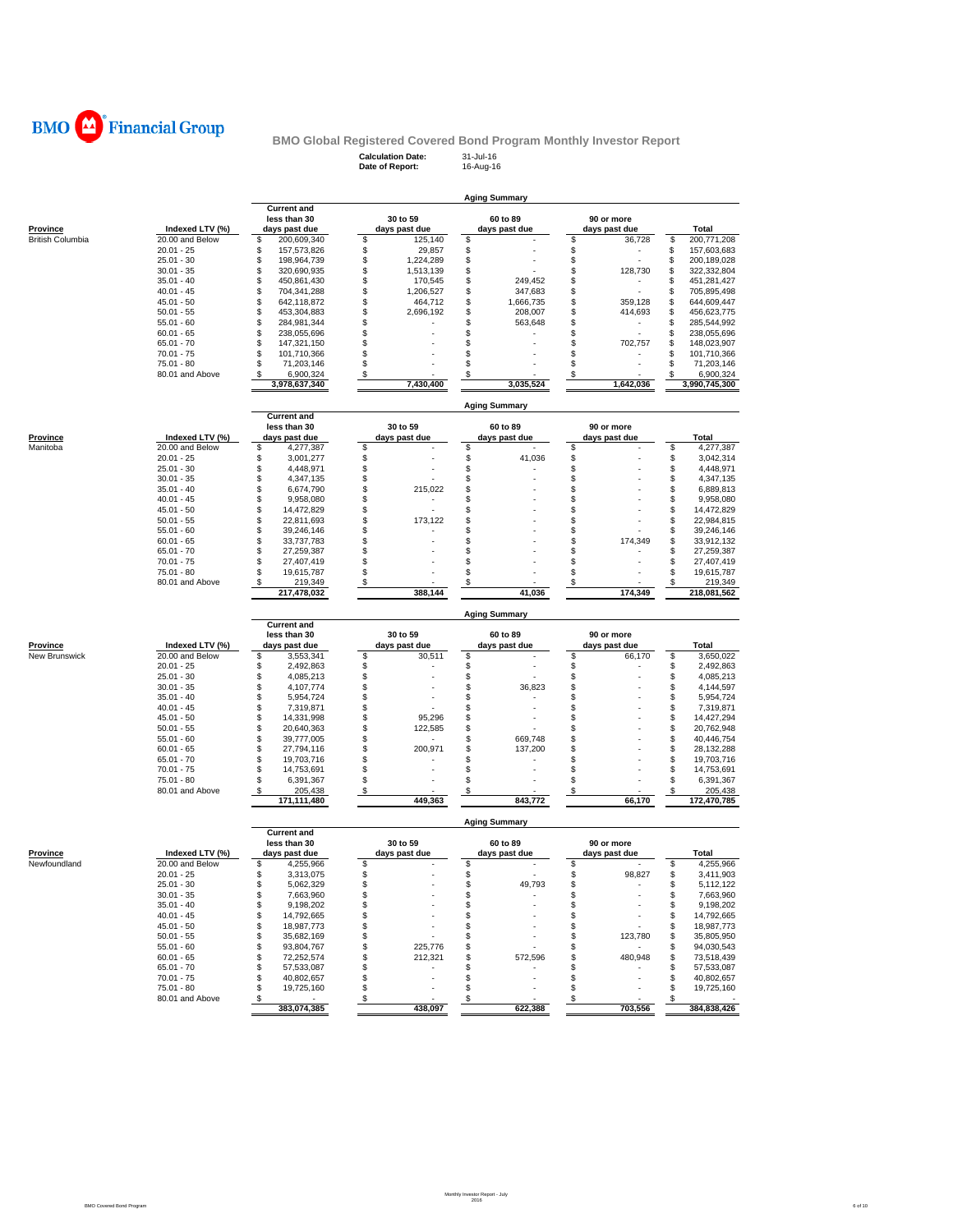

# **BMO Global Registered Covered Bond Program Monthly Investor Report**<br>Calculation Date: 31-Jul-16<br>Date of Report: 16-Aug-16

**Calculation Date:** 31-Jul-16 **Date of Report:** 16-Aug-16

|                         |                                 |                                        |                                      | <b>Aging Summary</b> |                    |                                        |
|-------------------------|---------------------------------|----------------------------------------|--------------------------------------|----------------------|--------------------|----------------------------------------|
|                         |                                 | <b>Current and</b>                     |                                      |                      |                    |                                        |
|                         |                                 | less than 30                           | 30 to 59                             | 60 to 89             | 90 or more         |                                        |
| Province                | Indexed LTV (%)                 | days past due                          | days past due                        | days past due        | days past due      | Total                                  |
| <b>British Columbia</b> | 20.00 and Below<br>$20.01 - 25$ | \$<br>200,609,340<br>\$<br>157,573,826 | \$<br>125,140<br>\$<br>29,857        | \$<br>\$             | \$<br>36,728<br>\$ | \$<br>200,771,208<br>\$<br>157,603,683 |
|                         | $25.01 - 30$                    | \$<br>198.964.739                      | \$<br>1,224,289                      | \$                   | \$                 | \$<br>200,189,028                      |
|                         | $30.01 - 35$                    | \$<br>320,690,935                      | \$<br>1,513,139                      | \$                   | \$<br>128,730      | \$<br>322,332,804                      |
|                         | $35.01 - 40$                    | \$<br>450,861,430                      | \$<br>170,545                        | \$<br>249,452        | \$                 | \$<br>451,281,427                      |
|                         | $40.01 - 45$                    | \$<br>704,341,288                      | \$<br>1,206,527                      | \$<br>347,683        | \$                 | \$<br>705,895,498                      |
|                         | $45.01 - 50$                    | \$<br>642,118,872                      | \$<br>464,712                        | \$<br>1,666,735      | \$<br>359,128      | \$<br>644,609,447                      |
|                         | $50.01 - 55$                    | \$<br>453,304,883                      | \$<br>2,696,192                      | \$<br>208,007        | \$<br>414,693      | \$<br>456,623,775                      |
|                         | $55.01 - 60$<br>$60.01 - 65$    | \$<br>284,981,344<br>\$<br>238.055.696 | \$<br>\$                             | \$<br>563,648<br>\$  | \$<br>٠<br>\$      | \$<br>285,544,992<br>\$<br>238,055,696 |
|                         | $65.01 - 70$                    | \$<br>147,321,150                      | \$                                   | \$                   | \$<br>702,757      | \$<br>148,023,907                      |
|                         | $70.01 - 75$                    | \$<br>101,710,366                      | \$                                   | \$                   | \$                 | \$<br>101,710,366                      |
|                         | 75.01 - 80                      | \$<br>71,203,146                       | \$                                   | \$                   | \$                 | \$<br>71,203,146                       |
|                         | 80.01 and Above                 | \$<br>6,900,324                        | \$                                   | \$                   | \$                 | \$<br>6,900,324                        |
|                         |                                 | 3,978,637,340                          | 7,430,400                            | 3,035,524            | 1.642.036          | 3,990,745,300                          |
|                         |                                 |                                        |                                      | <b>Aging Summary</b> |                    |                                        |
|                         |                                 | <b>Current and</b><br>less than 30     | 30 to 59                             | 60 to 89             | 90 or more         |                                        |
| Province                | Indexed LTV (%)                 | days past due                          | days past due                        | days past due        | days past due      | Total                                  |
| Manitoba                | 20.00 and Below                 | \$<br>4,277,387                        | \$                                   | \$                   | \$                 | \$<br>4,277,387                        |
|                         | $20.01 - 25$                    | \$<br>3,001,277                        | \$                                   | \$<br>41,036         | \$                 | \$<br>3,042,314                        |
|                         | $25.01 - 30$                    | \$<br>4,448,971                        | \$                                   | \$                   | \$                 | \$<br>4,448,971                        |
|                         | $30.01 - 35$                    | \$<br>4,347,135                        | \$                                   | \$                   | \$                 | \$<br>4,347,135                        |
|                         | $35.01 - 40$                    | \$<br>6,674,790                        | \$<br>215,022                        | \$                   | \$                 | \$<br>6,889,813                        |
|                         | $40.01 - 45$<br>$45.01 - 50$    | \$<br>9,958,080<br>\$<br>14,472,829    | \$<br>\$                             | \$<br>\$             | \$<br>\$           | \$<br>9,958,080<br>\$<br>14,472,829    |
|                         | $50.01 - 55$                    | \$<br>22,811,693                       | \$<br>173.122                        | \$                   | \$                 | \$<br>22,984,815                       |
|                         | $55.01 - 60$                    | \$<br>39,246,146                       | \$                                   | \$                   | \$                 | \$<br>39,246,146                       |
|                         | $60.01 - 65$                    | \$<br>33,737,783                       | \$                                   | \$                   | \$<br>174,349      | \$<br>33,912,132                       |
|                         | $65.01 - 70$                    | \$<br>27,259,387                       | \$                                   | \$                   | \$                 | \$<br>27,259,387                       |
|                         | $70.01 - 75$                    | \$<br>27,407,419                       | \$                                   | \$                   | \$                 | \$<br>27,407,419                       |
|                         | 75.01 - 80                      | \$<br>19,615,787                       | \$                                   | \$                   | \$                 | \$<br>19,615,787                       |
|                         | 80.01 and Above                 | 219,349<br>\$                          | $\boldsymbol{\mathsf{s}}$<br>388,144 | \$                   | \$<br>174,349      | 219,349<br>\$                          |
|                         |                                 | 217,478,032                            |                                      | 41,036               |                    | 218,081,562                            |
|                         |                                 | <b>Current and</b>                     |                                      | <b>Aging Summary</b> |                    |                                        |
|                         |                                 | less than 30                           | 30 to 59                             | 60 to 89             | 90 or more         |                                        |
| Province                | Indexed LTV (%)                 | days past due                          | days past due                        | days past due        | days past due      | Total                                  |
| New Brunswick           | 20.00 and Below                 | \$<br>3,553,341                        | \$<br>30,511                         | \$                   | \$<br>66,170       | \$<br>3,650,022                        |
|                         | $20.01 - 25$<br>$25.01 - 30$    | \$<br>2,492,863<br>\$<br>4,085,213     | \$<br>\$                             | \$<br>\$             | \$<br>\$           | \$<br>2,492,863<br>\$<br>4,085,213     |
|                         | $30.01 - 35$                    | \$<br>4,107,774                        | \$                                   | \$<br>36,823         | \$                 | \$<br>4,144,597                        |
|                         | $35.01 - 40$                    | \$<br>5,954,724                        | \$                                   | \$                   | \$                 | \$<br>5,954,724                        |
|                         | $40.01 - 45$                    | \$<br>7,319,871                        | \$                                   | \$                   | \$                 | \$<br>7,319,871                        |
|                         | $45.01 - 50$                    | \$<br>14,331,998                       | \$<br>95,296                         | \$                   | \$                 | \$<br>14,427,294                       |
|                         | $50.01 - 55$                    | \$<br>20,640,363                       | \$<br>122,585                        | \$                   | \$                 | \$<br>20,762,948                       |
|                         | $55.01 - 60$                    | \$<br>39,777,005                       | \$                                   | \$<br>669,748        | \$                 | \$<br>40,446,754                       |
|                         | $60.01 - 65$                    | \$<br>27,794,116<br>\$                 | \$<br>200,971                        | \$<br>137,200        | \$                 | \$<br>28, 132, 288                     |
|                         |                                 | 19,703,716                             | \$                                   | \$                   | \$                 | \$<br>19,703,716                       |
|                         | $65.01 - 70$                    |                                        |                                      |                      |                    |                                        |
|                         | $70.01 - 75$                    | \$<br>14,753,691                       | \$                                   | \$                   | \$                 | \$<br>14,753,691                       |
|                         | 75.01 - 80<br>80.01 and Above   | \$<br>6,391,367                        | \$                                   | \$                   | \$                 | \$<br>6,391,367<br>\$                  |
|                         |                                 | 205,438<br>\$<br>171,111,480           | \$<br>449,363                        | \$<br>843,772        | \$<br>66,170       | 205,438<br>172,470,785                 |
|                         |                                 |                                        |                                      | <b>Aging Summary</b> |                    |                                        |
|                         |                                 | <b>Current and</b><br>less than 30     | 30 to 59                             | 60 to 89             | 90 or more         |                                        |
| Province                | Indexed LTV (%)                 | days past due                          | days past due                        | days past due        | days past due      | Total                                  |
| Newfoundland            | 20.00 and Below                 | \$<br>4,255,966                        | \$                                   | \$                   | \$                 | \$<br>4,255,966                        |
|                         | $20.01 - 25$                    | \$<br>3,313,075                        | \$                                   |                      | \$<br>98,827       | 3,411,903<br>S                         |
|                         | $25.01 - 30$                    | \$<br>5,062,329                        | \$                                   | 49,793<br>\$         | \$<br>٠            | 5,112,122<br>\$                        |
|                         | $30.01 - 35$                    | \$<br>7,663,960<br>\$                  | \$                                   | \$<br>\$             | \$                 | \$<br>7,663,960<br>\$                  |
|                         | $35.01 - 40$                    | 9,198,202                              | \$                                   | \$                   | \$                 | 9,198,202                              |
|                         | $40.01 - 45$<br>$45.01 - 50$    | \$<br>14,792,665<br>\$<br>18,987,773   | \$<br>\$                             | \$                   | \$<br>\$           | \$<br>14,792,665<br>18,987,773<br>\$   |
|                         | $50.01 - 55$                    | \$<br>35,682,169                       | \$                                   | \$                   | \$<br>123,780      | 35,805,950<br>\$                       |
|                         | $55.01 - 60$                    | \$<br>93,804,767                       | \$<br>225.776                        | \$                   | \$                 | \$<br>94,030,543                       |
|                         | $60.01 - 65$                    | \$<br>72,252,574                       | \$<br>212,321                        | \$<br>572,596        | \$<br>480,948      | 73,518,439<br>\$                       |
|                         | $65.01 - 70$                    | \$<br>57,533,087                       | \$                                   | \$                   | \$                 | \$<br>57,533,087                       |
|                         | $70.01 - 75$                    | \$<br>40,802,657                       | \$                                   | \$                   | \$                 | \$<br>40,802,657                       |
|                         | 75.01 - 80<br>80.01 and Above   | \$<br>19,725,160<br>\$                 | \$<br>\$                             | \$<br>\$             | \$<br>\$           | \$<br>19,725,160<br>\$                 |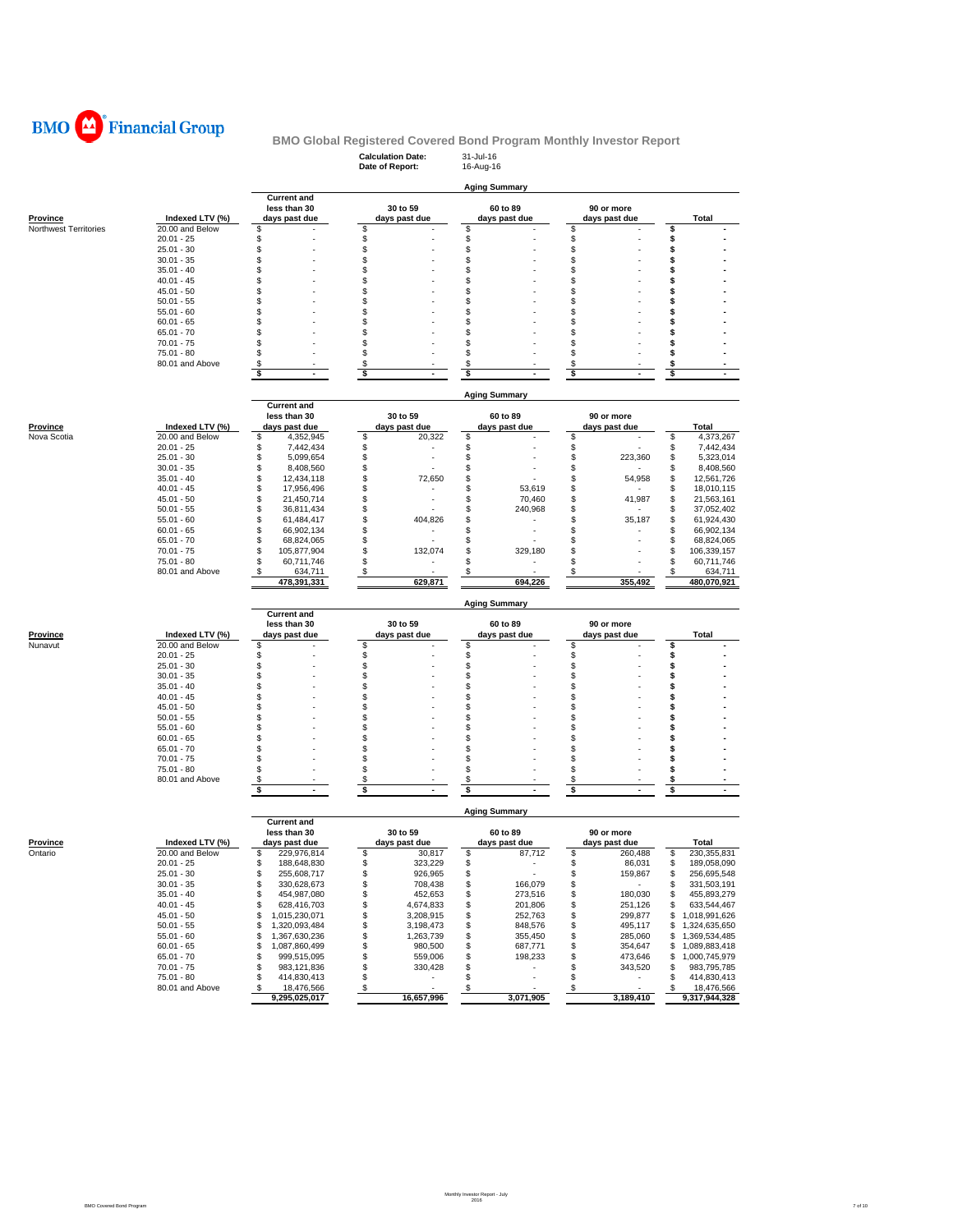

# **Calculation Date:** 31-Jul-16 **BMO Global Registered Covered Bond Program Monthly Investor Report**

|                         |                              |                                            | Date of Report:                  | 16-Aug-16                            |                                |                                                                                                     |
|-------------------------|------------------------------|--------------------------------------------|----------------------------------|--------------------------------------|--------------------------------|-----------------------------------------------------------------------------------------------------|
|                         |                              |                                            |                                  |                                      |                                |                                                                                                     |
|                         |                              | <b>Current and</b>                         |                                  | <b>Aging Summary</b>                 |                                |                                                                                                     |
|                         |                              | less than 30                               | 30 to 59                         | 60 to 89                             | 90 or more                     |                                                                                                     |
| <b>Province</b>         | Indexed LTV (%)              | days past due                              | days past due                    | days past due                        | days past due                  | Total                                                                                               |
| Northwest Territories   | 20.00 and Below              | \$                                         | \$                               | \$                                   | \$                             | \$                                                                                                  |
|                         | $20.01 - 25$                 | \$                                         | \$                               | \$                                   | \$                             | \$                                                                                                  |
|                         | $25.01 - 30$                 | \$                                         | \$                               | \$                                   | \$                             | \$                                                                                                  |
|                         | $30.01 - 35$                 | \$                                         | \$                               | \$                                   | \$                             | \$                                                                                                  |
|                         | $35.01 - 40$                 | \$                                         | \$                               | \$                                   | \$                             | \$                                                                                                  |
|                         | $40.01 - 45$                 | \$                                         | \$<br>\$                         | \$                                   | \$                             | \$<br>\$                                                                                            |
|                         | $45.01 - 50$<br>$50.01 - 55$ | \$<br>\$                                   | \$                               | \$<br>\$                             | \$<br>\$                       | \$                                                                                                  |
|                         | $55.01 - 60$                 | \$                                         | \$                               | \$                                   | \$                             | \$                                                                                                  |
|                         | $60.01 - 65$                 | \$                                         | \$                               | \$                                   | \$                             | \$                                                                                                  |
|                         | $65.01 - 70$                 | S                                          | \$                               | \$                                   | \$                             | \$                                                                                                  |
|                         | $70.01 - 75$                 | S                                          | \$                               | \$                                   | \$                             | \$                                                                                                  |
|                         | $75.01 - 80$                 | \$                                         | \$                               | \$                                   | \$                             | \$                                                                                                  |
|                         | 80.01 and Above              | \$                                         | \$                               | \$                                   | \$                             | \$                                                                                                  |
|                         |                              | \$<br>$\blacksquare$                       | \$<br>$\blacksquare$             | \$                                   | \$<br>$\blacksquare$           | \$<br>$\blacksquare$                                                                                |
|                         |                              |                                            |                                  |                                      |                                |                                                                                                     |
|                         |                              |                                            |                                  | <b>Aging Summary</b>                 |                                |                                                                                                     |
|                         |                              | <b>Current and</b>                         |                                  |                                      |                                |                                                                                                     |
|                         | Indexed LTV (%)              | less than 30                               | 30 to 59                         | 60 to 89                             | 90 or more                     |                                                                                                     |
| Province<br>Nova Scotia | 20.00 and Below              | days past due<br>\$<br>4,352,945           | days past due<br>\$<br>20,322    | days past due<br>\$                  | days past due<br>\$            | <b>Total</b><br>\$<br>4,373,267                                                                     |
|                         | $20.01 - 25$                 | \$<br>7,442,434                            | \$                               | \$                                   | \$                             | \$<br>7,442,434                                                                                     |
|                         | $25.01 - 30$                 | \$<br>5,099,654                            | \$                               | \$                                   | \$<br>223,360                  | \$<br>5,323,014                                                                                     |
|                         | $30.01 - 35$                 | \$<br>8,408,560                            | \$                               | \$                                   | \$                             | 8,408,560<br>\$                                                                                     |
|                         | $35.01 - 40$                 | \$<br>12,434,118                           | \$<br>72,650                     | \$                                   | \$<br>54,958                   | \$<br>12,561,726                                                                                    |
|                         | $40.01 - 45$                 | \$<br>17,956,496                           | \$                               | \$<br>53,619                         | \$                             | \$<br>18,010,115                                                                                    |
|                         | $45.01 - 50$                 | \$<br>21,450,714                           | \$                               | \$<br>70,460                         | \$<br>41,987                   | \$<br>21,563,161                                                                                    |
|                         | $50.01 - 55$                 | \$<br>36,811,434                           | \$                               | \$<br>240,968                        | \$                             | \$<br>37,052,402                                                                                    |
|                         | $55.01 - 60$                 | \$<br>61,484,417                           | \$<br>404,826                    | \$                                   | 35,187<br>S                    | \$<br>61,924,430                                                                                    |
|                         | $60.01 - 65$                 | \$<br>66,902,134                           | \$                               | \$                                   | \$                             | S<br>66,902,134                                                                                     |
|                         | $65.01 - 70$                 | \$<br>68,824,065                           | \$                               | \$                                   | \$                             | \$<br>68,824,065                                                                                    |
|                         | $70.01 - 75$                 | \$<br>105,877,904                          | \$<br>132,074                    | \$<br>329.180                        | \$                             | \$<br>106,339,157                                                                                   |
|                         | $75.01 - 80$                 | \$<br>60,711,746                           | \$                               | \$                                   | \$                             | \$<br>60,711,746                                                                                    |
|                         | 80.01 and Above              | 634,711<br>\$<br>478,391,331               | \$<br>629,871                    | \$<br>694,226                        | \$<br>355.492                  | 634,711<br>\$<br>480,070,921                                                                        |
|                         |                              |                                            |                                  |                                      |                                |                                                                                                     |
|                         |                              | <b>Current and</b>                         |                                  | <b>Aging Summary</b>                 |                                |                                                                                                     |
|                         |                              | less than 30                               | 30 to 59                         | 60 to 89                             | 90 or more                     |                                                                                                     |
| Province                | Indexed LTV (%)              | days past due                              | days past due                    | days past due                        | days past due                  | Total                                                                                               |
| Nunavut                 | 20.00 and Below              | \$                                         | \$                               | \$                                   | \$                             | \$                                                                                                  |
|                         | $20.01 - 25$                 | \$                                         | \$                               | \$                                   | \$                             | \$                                                                                                  |
|                         | $25.01 - 30$                 | \$                                         | \$                               | \$                                   | \$                             | \$                                                                                                  |
|                         | $30.01 - 35$                 | \$                                         | \$                               | \$                                   | \$                             | \$                                                                                                  |
|                         | $35.01 - 40$                 | \$                                         | \$                               | \$                                   | \$                             | \$                                                                                                  |
|                         | $40.01 - 45$                 | \$                                         | \$                               | \$                                   | \$                             | \$                                                                                                  |
|                         | $45.01 - 50$                 | \$                                         | \$                               | \$                                   | \$                             | \$<br>\$                                                                                            |
|                         | $50.01 - 55$                 | \$<br>\$                                   | \$<br>\$                         | \$<br>\$                             | \$<br>\$                       | \$                                                                                                  |
|                         | $55.01 - 60$<br>$60.01 - 65$ | S                                          | \$                               | \$                                   | \$                             | \$                                                                                                  |
|                         | $65.01 - 70$                 | \$                                         | \$                               | \$                                   | \$                             | \$                                                                                                  |
|                         | $70.01 - 75$                 | \$                                         | \$                               | \$                                   | \$                             | \$                                                                                                  |
|                         | $75.01 - 80$                 | \$                                         | \$                               | \$                                   | \$                             | \$                                                                                                  |
|                         | 80.01 and Above              | \$                                         | \$                               | \$                                   | \$                             | \$                                                                                                  |
|                         |                              | \$                                         | \$<br>ä,                         | \$                                   | \$                             | \$                                                                                                  |
|                         |                              |                                            |                                  |                                      |                                |                                                                                                     |
|                         |                              | <b>Current and</b>                         |                                  | <b>Aging Summary</b>                 |                                |                                                                                                     |
|                         |                              | less than 30                               | 30 to 59                         | 60 to 89                             | 90 or more                     |                                                                                                     |
| <b>Province</b>         | Indexed LTV (%)              | days past due                              | days past due                    | days past due                        | days past due                  | Total                                                                                               |
| Ontario                 | 20.00 and Below              | 229,976,814<br>\$                          | \$<br>30,817                     | \$<br>87,712                         | \$<br>260,488                  | 230,355,831<br>\$                                                                                   |
|                         |                              | \$<br>188,648,830                          | \$<br>323,229                    | \$<br>\$                             | \$<br>86,031                   | \$<br>189,058,090                                                                                   |
|                         | 20.01 - 25                   |                                            |                                  |                                      | \$<br>159,867                  | \$<br>256,695,548                                                                                   |
|                         | $25.01 - 30$                 | \$<br>255,608,717                          | \$<br>926,965                    |                                      |                                |                                                                                                     |
|                         | $30.01 - 35$                 | \$<br>330,628,673                          | \$<br>708,438                    | \$<br>166,079                        | \$<br>$\sim$                   | \$                                                                                                  |
|                         | $35.01 - 40$                 | \$<br>454,987,080                          | \$<br>452,653                    | \$<br>273,516                        | 180,030<br>\$                  | \$                                                                                                  |
|                         | $40.01 - 45$                 | \$<br>628,416,703                          | \$<br>4,674,833                  | \$<br>201,806                        | 251,126<br>\$                  | \$                                                                                                  |
|                         | $45.01 - 50$                 | \$<br>1,015,230,071                        | \$<br>3,208,915                  | \$<br>252,763                        | \$<br>299,877                  |                                                                                                     |
|                         | $50.01 - 55$                 | 1,320,093,484<br>\$<br>\$<br>1,367,630,236 | \$<br>3,198,473                  | \$<br>848,576                        | \$<br>495,117                  | \$<br>\$                                                                                            |
|                         | $55.01 - 60$<br>$60.01 - 65$ | \$<br>1,087,860,499                        | \$<br>1,263,739<br>\$<br>980,500 | \$<br>355,450<br>\$<br>687,771       | \$<br>285,060<br>\$<br>354,647 | \$                                                                                                  |
|                         | $65.01 - 70$                 | \$<br>999,515,095                          | \$<br>559,006                    | \$<br>198,233                        | \$<br>473,646                  | \$                                                                                                  |
|                         | $70.01 - 75$                 | \$<br>983,121,836                          | \$<br>330,428                    | \$                                   | 343,520<br>\$                  | 331,503,191<br>633,544,467<br>\$1,018,991,626<br>1,324,635,650<br>1,000,745,979<br>S<br>983,795,785 |
|                         | 75.01 - 80                   | \$<br>414,830,413                          | \$<br>٠                          | \$<br>٠                              | \$<br>$\sim$                   | 455,893,279<br>1,369,534,485<br>1,089,883,418<br>\$<br>414,830,413                                  |
|                         | 80.01 and Above              | 18,476,566<br>$\sqrt{3}$<br>9,295,025,017  | $\sqrt{3}$<br>16,657,996         | $\sqrt[6]{\frac{2}{5}}$<br>3,071,905 | <u>\$</u><br>3,189,410         | $\mathbf{\hat{s}}$<br>18,476,566<br>9,317,944,328                                                   |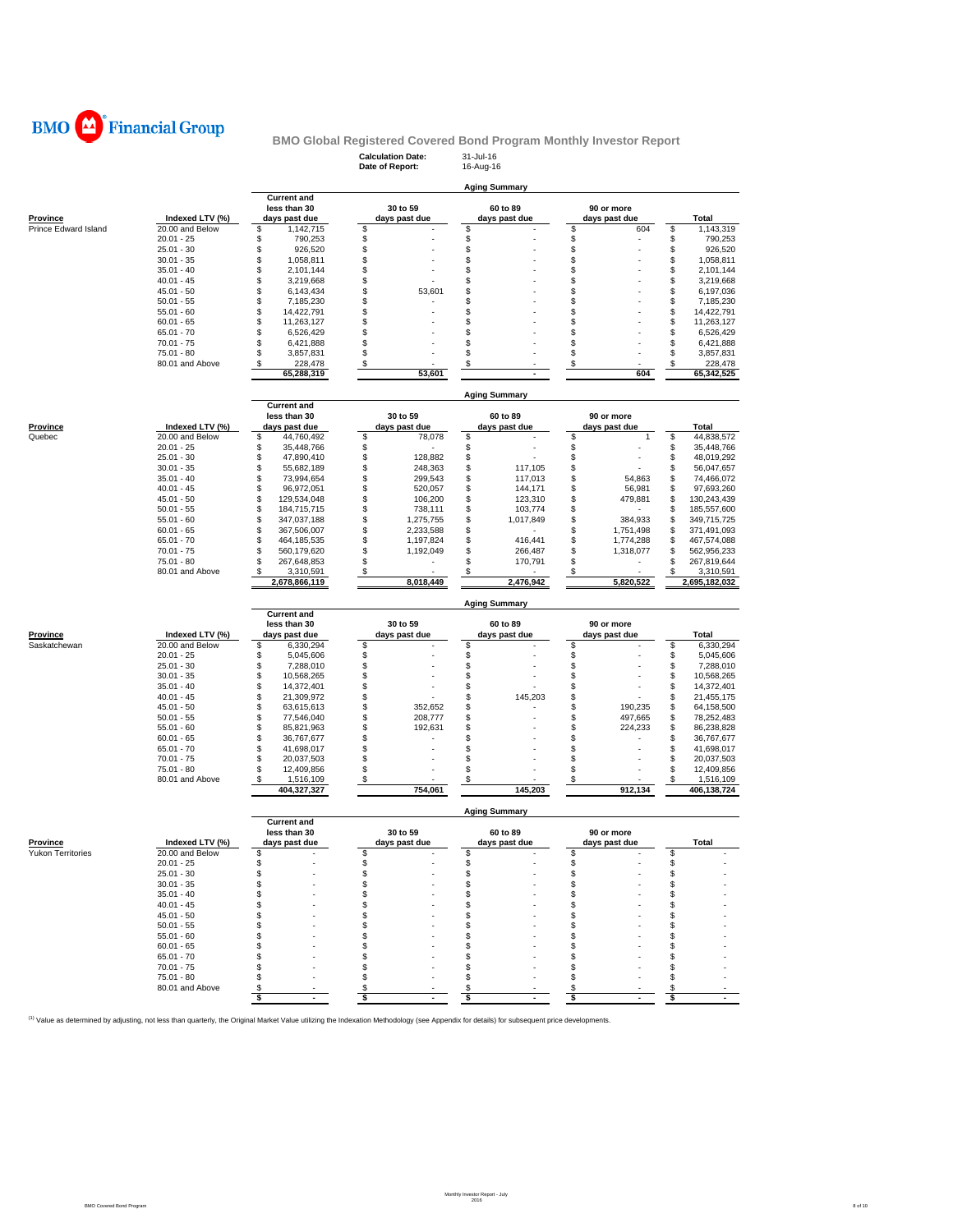

# **Calculation Date:** 31-Jul-16 **BMO Global Registered Covered Bond Program Monthly Investor Report**

|                      |                               |                                  | Date of Report:                    | 16-Aug-16             |                              |                                  |
|----------------------|-------------------------------|----------------------------------|------------------------------------|-----------------------|------------------------------|----------------------------------|
|                      |                               |                                  |                                    |                       |                              |                                  |
|                      |                               | <b>Current and</b>               |                                    | <b>Aging Summary</b>  |                              |                                  |
|                      |                               | less than 30                     | 30 to 59                           | 60 to 89              | 90 or more                   |                                  |
| <b>Province</b>      | Indexed LTV (%)               | days past due                    | days past due                      | days past due         | days past due                | <b>Total</b>                     |
| Prince Edward Island | 20.00 and Below               | \$<br>1,142,715                  | \$                                 | \$                    | \$<br>604                    | \$<br>1,143,319                  |
|                      | $20.01 - 25$                  | \$<br>790,253                    | \$                                 | \$                    | \$                           | \$<br>790,253                    |
|                      | $25.01 - 30$                  | \$<br>926,520                    | \$                                 | \$                    | \$                           | \$<br>926,520                    |
|                      | $30.01 - 35$                  | \$<br>1,058,811                  | \$                                 | \$                    | \$                           | \$<br>1,058,811                  |
|                      | $35.01 - 40$                  | \$<br>2,101,144                  | \$                                 | \$                    | \$                           | \$<br>2,101,144                  |
|                      | $40.01 - 45$                  | \$<br>3,219,668                  | \$                                 | \$                    | \$                           | \$<br>3,219,668                  |
|                      | $45.01 - 50$                  | \$<br>6,143,434                  | \$<br>53,601                       | \$                    | \$                           | \$<br>6,197,036                  |
|                      | $50.01 - 55$<br>$55.01 - 60$  | \$<br>7,185,230<br>\$            | \$<br>\$                           | \$<br>\$              | \$<br>\$                     | \$<br>7,185,230<br>\$            |
|                      | $60.01 - 65$                  | 14,422,791<br>\$<br>11,263,127   | \$                                 | \$                    | \$                           | 14,422,791<br>\$<br>11,263,127   |
|                      | $65.01 - 70$                  | \$<br>6,526,429                  | \$                                 | \$                    | \$                           | \$<br>6,526,429                  |
|                      | $70.01 - 75$                  | \$<br>6,421,888                  | \$                                 | \$                    | \$                           | \$<br>6,421,888                  |
|                      | $75.01 - 80$                  | \$<br>3,857,831                  | \$                                 | \$                    | \$                           | \$<br>3,857,831                  |
|                      | 80.01 and Above               | \$<br>228,478                    | \$                                 | \$                    | \$                           | \$<br>228,478                    |
|                      |                               | 65,288,319                       | 53,601                             |                       | 604                          | 65,342,525                       |
|                      |                               |                                  |                                    |                       |                              |                                  |
|                      |                               |                                  |                                    | <b>Aging Summary</b>  |                              |                                  |
|                      |                               | <b>Current and</b>               |                                    |                       |                              |                                  |
|                      |                               | less than 30                     | 30 to 59                           | 60 to 89              | 90 or more                   |                                  |
| Province             | Indexed LTV (%)               | days past due                    | days past due                      | days past due         | days past due                | <b>Total</b>                     |
| Quebec               | 20.00 and Below               | \$<br>44,760,492                 | \$<br>78,078                       | \$                    | \$<br>1                      | \$<br>44,838,572                 |
|                      | $20.01 - 25$                  | \$<br>35,448,766                 | \$                                 | \$                    | \$                           | \$<br>35,448,766                 |
|                      | $25.01 - 30$                  | \$<br>47,890,410                 | \$<br>128,882                      | \$                    | \$                           | \$<br>48,019,292                 |
|                      | $30.01 - 35$                  | \$<br>55,682,189                 | \$<br>248,363                      | \$<br>117,105         | \$                           | \$<br>56,047,657                 |
|                      | $35.01 - 40$                  | \$<br>73,994,654                 | \$<br>299,543                      | 117,013<br>\$         | \$<br>54,863                 | \$<br>74,466,072                 |
|                      | $40.01 - 45$                  | \$<br>96,972,051                 | \$<br>520,057                      | \$<br>144,171         | \$<br>56,981                 | \$<br>97,693,260                 |
|                      | $45.01 - 50$                  | \$<br>129,534,048                | \$<br>106,200                      | \$<br>123,310         | \$<br>479,881                | \$<br>130,243,439                |
|                      | $50.01 - 55$                  | \$<br>184,715,715                | \$<br>738,111                      | \$<br>103,774         | \$<br>\$                     | \$<br>185,557,600<br>349,715,725 |
|                      | $55.01 - 60$                  | \$<br>347,037,188<br>\$          | \$<br>1,275,755<br>\$<br>2,233,588 | \$<br>1,017,849<br>\$ | 384,933<br>\$                | \$<br>371,491,093                |
|                      | $60.01 - 65$<br>$65.01 - 70$  | 367,506,007<br>\$<br>464,185,535 | \$<br>1,197,824                    | \$<br>416,441         | 1,751,498<br>\$<br>1,774,288 | \$<br>\$<br>467,574,088          |
|                      | $70.01 - 75$                  | \$<br>560,179,620                | \$<br>1,192,049                    | \$<br>266,487         | \$<br>1,318,077              | \$<br>562,956,233                |
|                      | 75.01 - 80                    | \$<br>267,648,853                | \$                                 | \$<br>170,791         | \$                           | S<br>267,819,644                 |
|                      | 80.01 and Above               | 3,310,591                        | \$                                 |                       |                              | 3,310,591                        |
|                      |                               | 2,678,866,119                    | 8,018,449                          | 2,476,942             | 5,820,522                    | 2,695,182,032                    |
|                      |                               |                                  |                                    |                       |                              |                                  |
|                      |                               |                                  |                                    |                       |                              |                                  |
|                      |                               |                                  |                                    | <b>Aging Summary</b>  |                              |                                  |
|                      |                               | <b>Current and</b>               |                                    |                       |                              |                                  |
|                      |                               | less than 30                     | 30 to 59                           | 60 to 89              | 90 or more                   |                                  |
| <b>Province</b>      | Indexed LTV (%)               | days past due                    | days past due                      | days past due         | days past due                | Total                            |
| Saskatchewan         | 20.00 and Below               | \$<br>6,330,294                  | \$                                 | \$                    | \$                           | \$<br>6,330,294                  |
|                      | $20.01 - 25$                  | \$<br>5,045,606                  | \$                                 | \$                    | \$                           | 5,045,606<br>\$                  |
|                      | $25.01 - 30$                  | \$<br>7,288,010                  | \$                                 | \$                    | \$                           | \$<br>7,288,010                  |
|                      | $30.01 - 35$                  | \$<br>10,568,265                 | \$                                 | \$                    | \$                           | \$<br>10,568,265                 |
|                      | $35.01 - 40$                  | \$<br>14,372,401                 | \$                                 | \$                    | \$                           | \$<br>14,372,401                 |
|                      | $40.01 - 45$                  | \$<br>21,309,972                 | \$                                 | \$<br>145,203         | \$                           | \$<br>21,455,175                 |
|                      | $45.01 - 50$                  | \$<br>63,615,613                 | \$<br>352,652                      | \$                    | 190,235<br>\$                | \$<br>64,158,500                 |
|                      | $50.01 - 55$                  | \$<br>77,546,040                 | \$<br>208,777                      | \$                    | \$<br>497,665                | \$<br>78,252,483                 |
|                      | $55.01 - 60$                  | \$<br>85,821,963                 | \$<br>192,631                      | \$                    | \$<br>224,233                | \$<br>86,238,828                 |
|                      | $60.01 - 65$                  | \$<br>36,767,677                 | \$                                 | \$                    | \$                           | \$<br>36,767,677                 |
|                      | $65.01 - 70$                  | \$<br>41,698,017<br>20,037,503   | \$                                 | \$<br>\$              | \$                           | \$<br>41,698,017<br>20,037,503   |
|                      | $70.01 - 75$<br>$75.01 - 80$  | \$<br>\$                         | \$<br>\$                           | \$                    | \$<br>\$                     | \$<br>\$                         |
|                      | 80.01 and Above               | 12,409,856<br>\$                 | \$                                 | \$                    | \$                           | 12,409,856<br>\$<br>1,516,109    |
|                      |                               | 1,516,109<br>404,327,327         | 754,061                            | 145,203               | 912,134                      | 406,138,724                      |
|                      |                               |                                  |                                    |                       |                              |                                  |
|                      |                               |                                  |                                    | <b>Aging Summary</b>  |                              |                                  |
|                      |                               | <b>Current and</b>               |                                    |                       |                              |                                  |
|                      |                               | less than 30                     | 30 to 59                           | 60 to 89              | 90 or more                   |                                  |
| <b>Province</b>      | Indexed LTV (%)               | days past due                    | days past due                      | days past due         | days past due                | Total                            |
| Yukon Territories    | 20.00 and Below               | \$                               | \$                                 | \$                    | \$                           | \$                               |
|                      | $20.01 - 25$                  | \$                               | \$                                 | \$                    | \$                           | \$                               |
|                      | $25.01 - 30$                  | \$                               | \$                                 | \$                    | \$                           | \$                               |
|                      | $30.01 - 35$                  | \$                               | \$                                 | \$                    | \$                           | \$                               |
|                      | $35.01 - 40$                  | \$                               | \$                                 | \$                    | \$                           | \$                               |
|                      | $40.01 - 45$                  | \$                               | \$                                 | \$                    | \$                           | \$                               |
|                      | $45.01 - 50$                  | \$                               | \$                                 | \$                    | \$                           | \$                               |
|                      | $50.01 - 55$                  | \$                               | \$                                 | \$                    | \$                           | \$                               |
|                      | $55.01 - 60$                  | \$                               | \$                                 | \$<br>\$              | \$                           | \$                               |
|                      | $60.01 - 65$                  | \$                               | \$                                 |                       | \$                           | \$                               |
|                      | $65.01 - 70$<br>$70.01 - 75$  | \$<br>\$                         | \$                                 | \$<br>\$              | \$<br>\$                     | \$                               |
|                      |                               |                                  | \$                                 |                       |                              | \$<br>٠                          |
|                      | 75.01 - 80<br>80.01 and Above | \$<br>\$                         | \$<br>\$                           | \$<br>\$              | \$<br>\$                     | \$<br>\$                         |

<sup>(1)</sup> Value as determined by adjusting, not less than quarterly, the Original Market Value utilizing the Indexation Methodology (see Appendix for details) for subsequent price developments.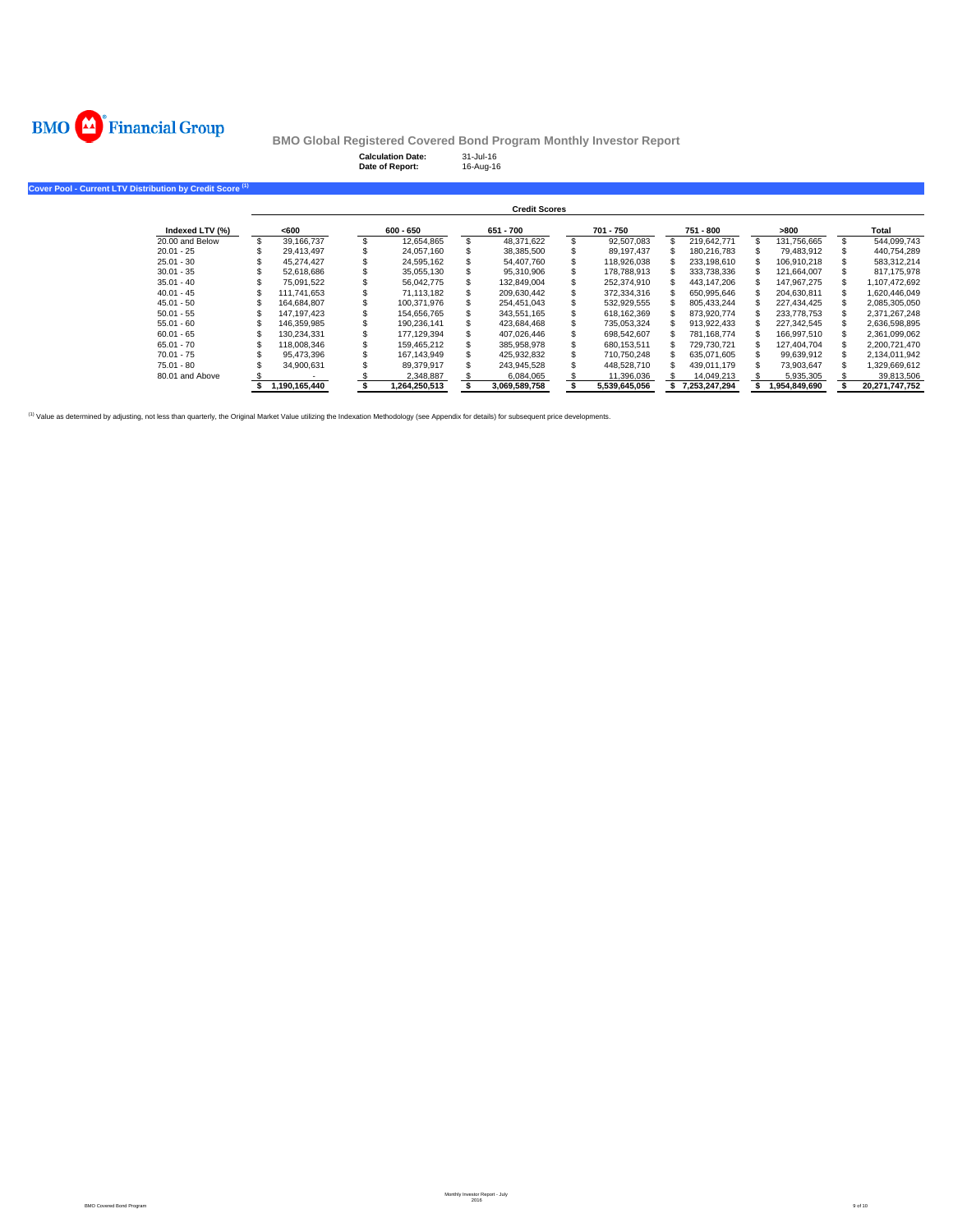

**Cover Pool - Curre** 

**BMO Global Registered Covered Bond Program Monthly Investor Report**<br>Calculation Date: 31-Jul-16<br>Date of Report: 16-Aug-16

**Calculation Date:** 31-Jul-16 **Date of Report:** 16-Aug-16

| ent LTV Distribution bv Credit Score <sup>(1)</sup> |               |               |                      |               |               |               |                |
|-----------------------------------------------------|---------------|---------------|----------------------|---------------|---------------|---------------|----------------|
|                                                     |               |               | <b>Credit Scores</b> |               |               |               |                |
| Indexed LTV (%)                                     | <600          | $600 - 650$   | 651 - 700            | 701 - 750     | 751 - 800     | >800          | Total          |
| 20.00 and Below                                     | 39,166,737    | 12,654,865    | 48,371,622           | 92,507,083    | 219.642.771   | 131,756,665   | 544,099,743    |
| $20.01 - 25$                                        | 29.413.497    | 24,057,160    | 38,385,500           | 89,197,437    | 180.216.783   | 79,483,912    | 440,754,289    |
| $25.01 - 30$                                        | 45.274.427    | 24.595.162    | 54.407.760           | 118,926,038   | 233.198.610   | 106.910.218   | 583.312.214    |
| $30.01 - 35$                                        | 52.618.686    | 35.055.130    | 95.310.906           | 178,788,913   | 333.738.336   | 121.664.007   | 817.175.978    |
| $35.01 - 40$                                        | 75.091.522    | 56.042.775    | 132,849,004          | 252,374,910   | 443,147,206   | 147,967,275   | 1,107,472,692  |
| $40.01 - 45$                                        | 111.741.653   | 71,113,182    | 209,630,442          | 372,334,316   | 650,995,646   | 204,630,811   | 1,620,446,049  |
| $45.01 - 50$                                        | 164.684.807   | 100.371.976   | 254.451.043          | 532,929,555   | 805.433.244   | 227.434.425   | 2,085,305,050  |
| $50.01 - 55$                                        | 147.197.423   | 154.656.765   | 343.551.165          | 618.162.369   | 873.920.774   | 233,778,753   | 2,371,267,248  |
| $55.01 - 60$                                        | 146,359,985   | 190,236,141   | 423,684,468          | 735,053,324   | 913,922,433   | 227,342,545   | 2,636,598,895  |
| $60.01 - 65$                                        | 130.234.331   | 177.129.394   | 407,026,446          | 698,542,607   | 781.168.774   | 166,997,510   | 2,361,099,062  |
| $65.01 - 70$                                        | 118,008,346   | 159.465.212   | 385.958.978          | 680.153.511   | 729.730.721   | 127.404.704   | 2,200,721,470  |
| $70.01 - 75$                                        | 95.473.396    | 167.143.949   | 425.932.832          | 710.750.248   | 635.071.605   | 99.639.912    | 2.134.011.942  |
| $75.01 - 80$                                        | 34,900,631    | 89,379,917    | 243.945.528          | 448,528,710   | 439,011,179   | 73,903,647    | 1,329,669,612  |
| 80.01 and Above                                     |               | 2,348,887     | 6,084,065            | 11,396,036    | 14,049,213    | 5,935,305     | 39,813,506     |
|                                                     | 1,190,165,440 | 1.264.250.513 | 3.069.589.758        | 5.539.645.056 | 7.253.247.294 | 1.954.849.690 | 20.271.747.752 |

(1) Value as determined by adjusting, not less than quarterly, the Original Market Value utilizing the Indexation Methodology (see Appendix for details) for subsequent price developments.